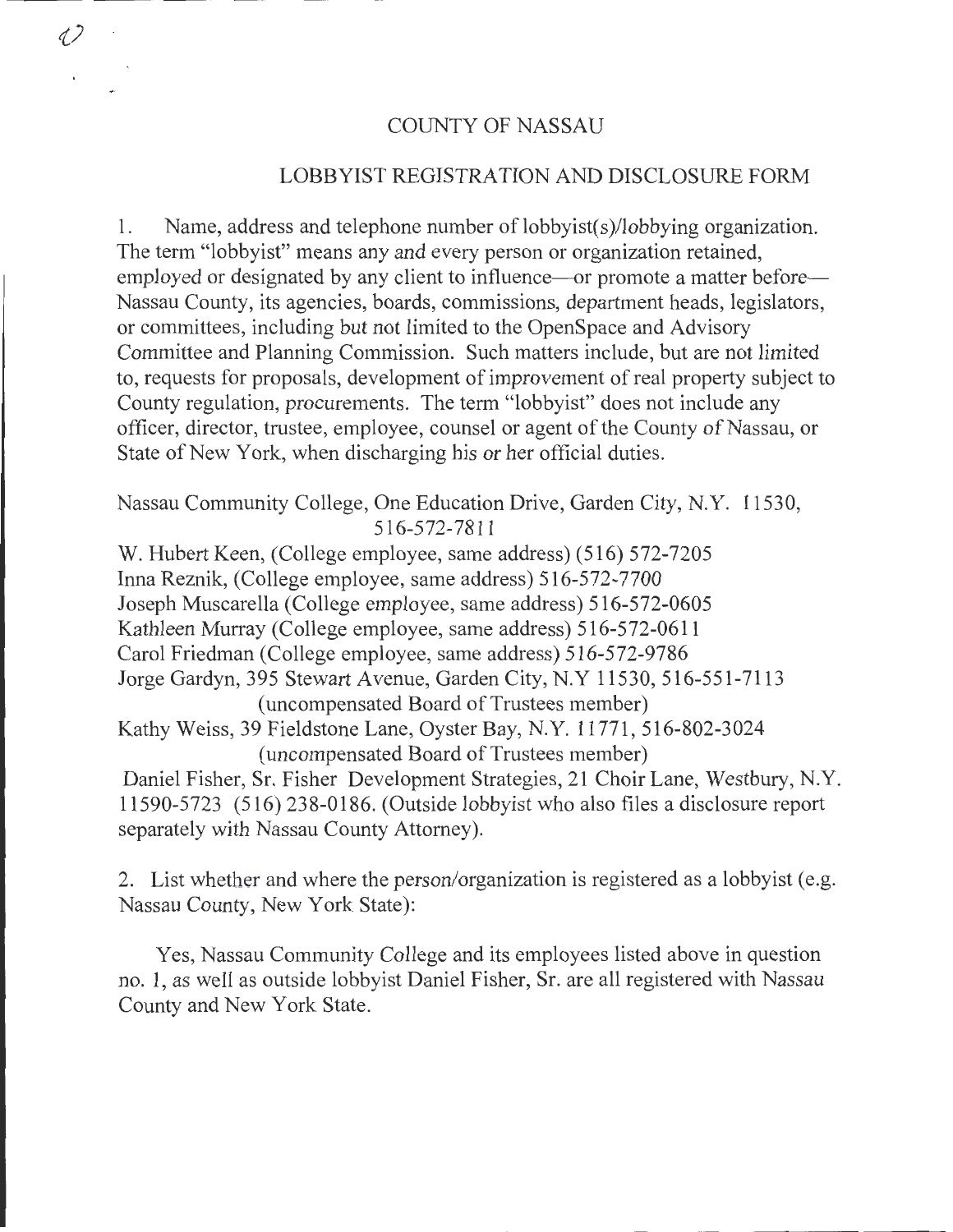## COUNTY OF NASSAU

12

# LOBBYIST REGISTRATION AND DISCLOSURE FORM

1. Name, address and telephone number of lobbyist( s )/lobbying organization. The term "lobbyist" means any and every person or organization retained, employed or designated by any client to influence—or promote a matter before— Nassau County, its agencies, boards, commissions, department heads, legislators, or committees, including but not limited to the OpenSpace and Advisory Committee and Planning Commission. Such matters include, but are not limited to, requests for proposals, development of improvement of real property subject to County regulation, procurements. The term "lobbyist" does not include any officer, director, trustee, employee, counsel or agent of the County of Nassau, or State of New York, when discharging his or her official duties.

Nassau Community College, One Education Drive, Garden City, N.Y. 11530, 516-572-7811

W. Hubert Keen, (College employee, same address) (516) 572-7205 Inna Reznik, (College employee, same address) 516-572-7700 Joseph Muscarella (College employee, same address) 516-572-0605 Kathleen Murray (College employee, same address) 516-572-0611 Carol Friedman (College employee, same address) 516-572-9786 Jorge Gardyn, 395 Stewart Avenue, Garden City, N.Y 11530, 516-551-7113 (uncompensated Board of Trustees member) Kathy Weiss, 39 Fieldstone Lane, Oyster Bay, N.Y. 11771, 516-802-3024 (uncompensated Board of Trustees member) Daniel Fisher, Sr. Fisher Development Strategies, 21 Choir Lane, Westbury, N.Y. 11590-5723 (516) 238-0186. (Outside lobbyist who also files a disclosure report separately with Nassau County Attorney).

2. List whether and where the person/organization is registered as a lobbyist (e.g. Nassau County, New York State):

Yes, Nassau Community College and its employees listed above in question no. 1, as well as outside lobbyist Daniel Fisher, Sr. are all registered with Nassau County and New York State.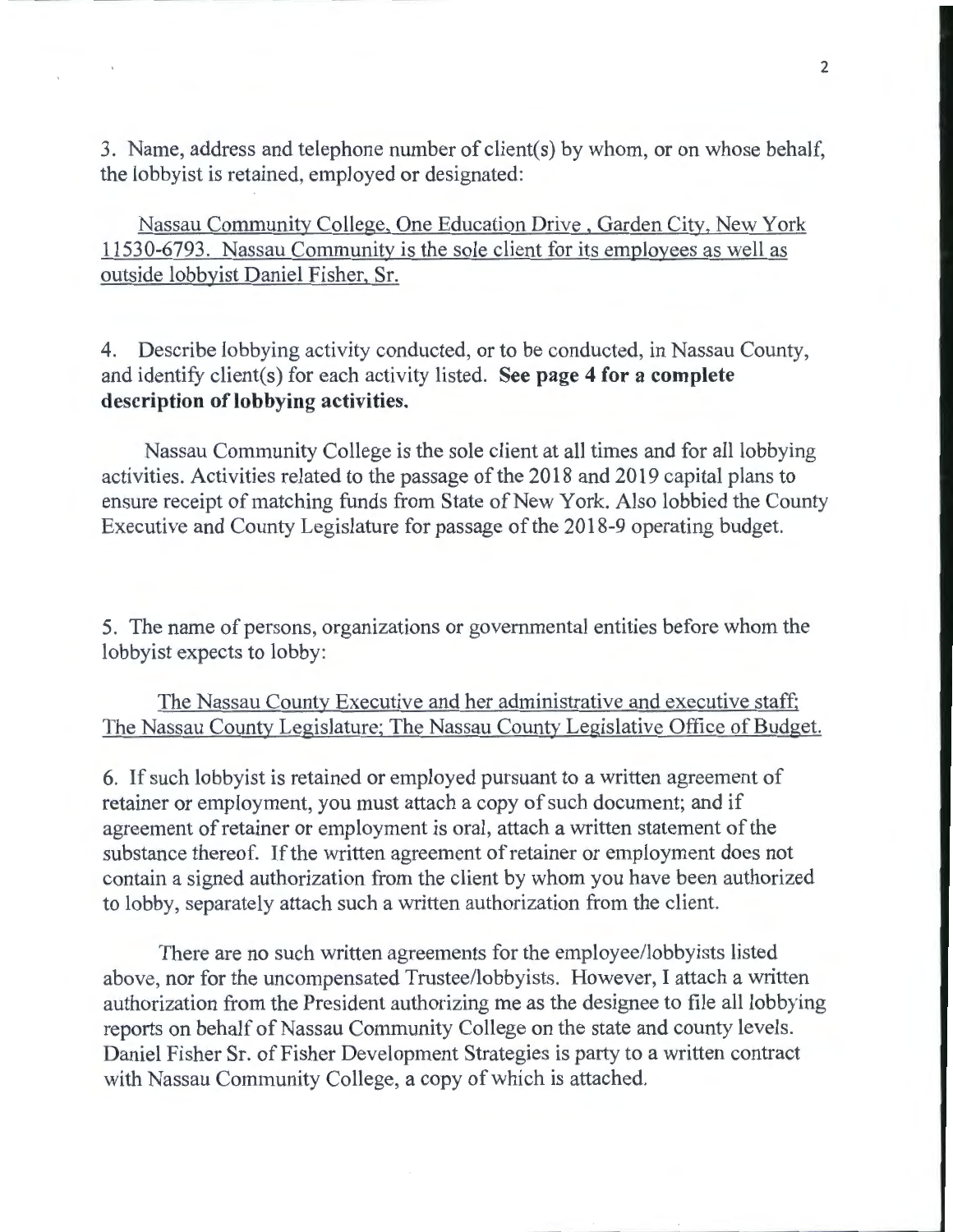3. Name, address and telephone number of client(s) by whom, or on whose behalf, the lobbyist is retained, employed or designated:

Nassau Community College, One Education Drive , Garden City, New York 11530-6793. Nassau Community is the sole client for its employees as well as outside lobbyist Daniel Fisher, Sr.

4. Describe lobbying activity conducted, or to be conducted, in Nassau County, and identify client(s) for each activity listed. **See page 4 for a complete description of lobbying activities.** 

Nassau Community College is the sole client at all times and for all lobbying activities. Activities related to the passage of the 2018 and 2019 capital plans to ensure receipt of matching funds from State of New York. Also lobbied the County Executive and County Legislature for passage of the 2018-9 operating budget.

5. The name of persons, organizations or governmental entities before whom the lobbyist expects to lobby:

The Nassau County Executive and her administrative and executive staff; The Nassau County Legislature; The Nassau County Legislative Office of Budget.

6. If such lobbyist is retained or employed pursuant to a written agreement of retainer or employment, you must attach a copy of such document; and if agreement of retainer or employment is oral, attach a written statement of the substance thereof. If the written agreement of retainer or employment does not contain a signed authorization from the client by whom you have been authorized to lobby, separately attach such a written authorization from the client.

There are no such written agreements for the employee/lobbyists listed above, nor for the uncompensated Trustee/lobbyists. However, I attach a written authorization from the President authorizing me as the designee to file all lobbying reports on behalf of Nassau Community College on the state and county levels. Daniel Fisher Sr. of Fisher Development Strategies is party to a written contract with Nassau Community College, a copy of which is attached.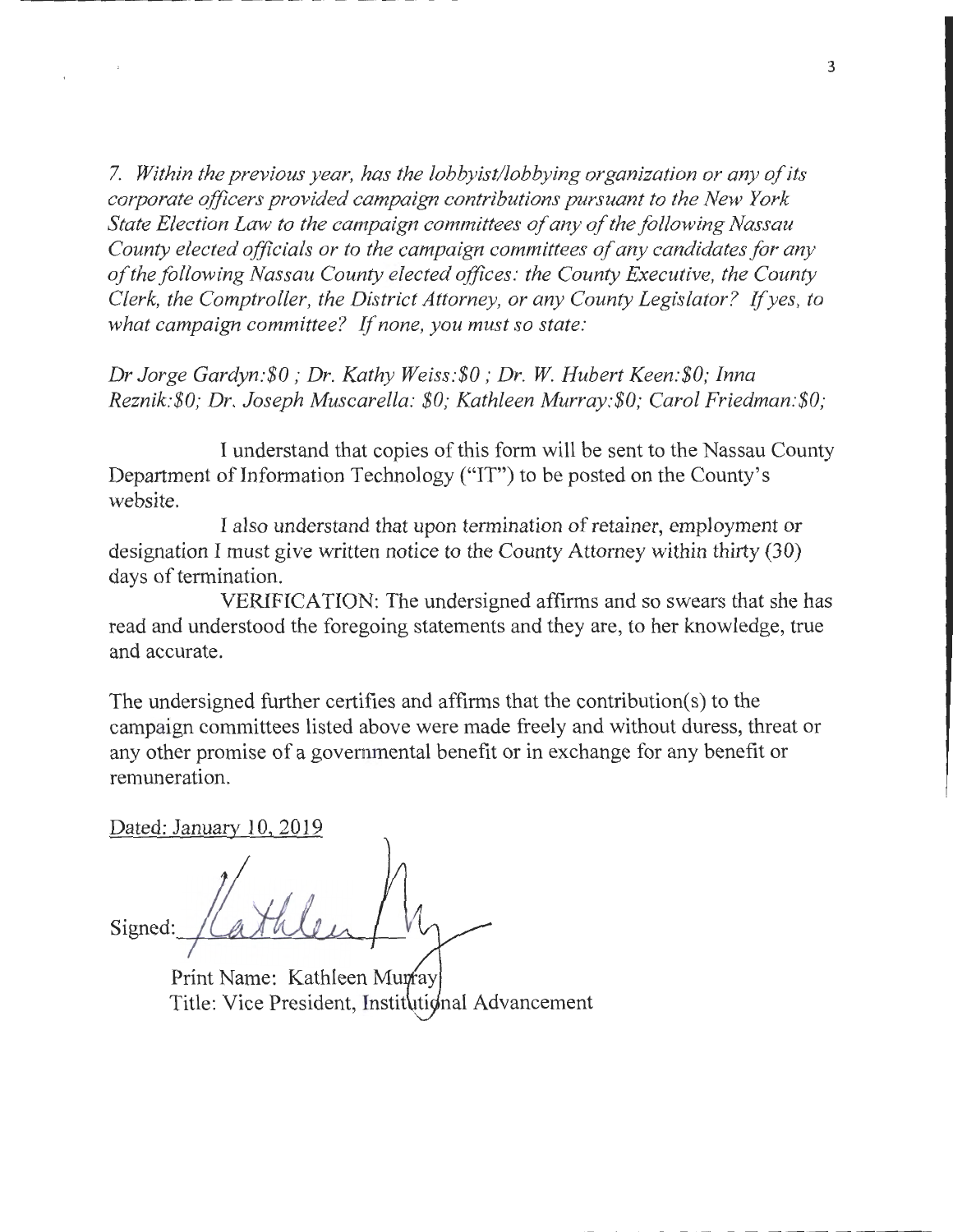7. *Within the previous year, has the lobbyist/lobbying organization or any of its corporate officers provided campaign contributions pursuant to the New York State Election Law to the campaign committees of any of the following Nassau County elected officials or to the campaign committees of any candidates for any of the following Nassau County elected offices: the County Executive, the County Clerk, the Comptroller, the District Attorney, or any County Legislator?* If *yes, to what campaign committee?* If *none, you must so state:* 

*Dr Jorge Gardyn:\$0; Dr. Kathy Weiss:\$0; Dr. W Hubert Keen:\$0; Inna Reznik:\$0; Dr. Joseph Muscarella: \$0; Kathleen Murray.·\$0; Carol Friedman:\$0;* 

I understand that copies of this form will be sent to the Nassau County Department of Information Technology ("IT") to be posted on the County's website.

I also understand that upon termination of retainer, employment or designation I must give written notice to the County Attorney within thirty (30) days of termination.

VERIFICATION: The undersigned affirms and so swears that she has read and understood the foregoing statements and they are, to her knowledge, true and accurate.

The undersigned further certifies and affirms that the contribution(s) to the campaign committees listed above were made freely and without duress, threat or any other promise of a governmental benefit or in exchange for any benefit or remuneration.

Dated: January 10, 2019

Signed:

Print Name: Kathleen Munfay Title: Vice President, Institutional Advancement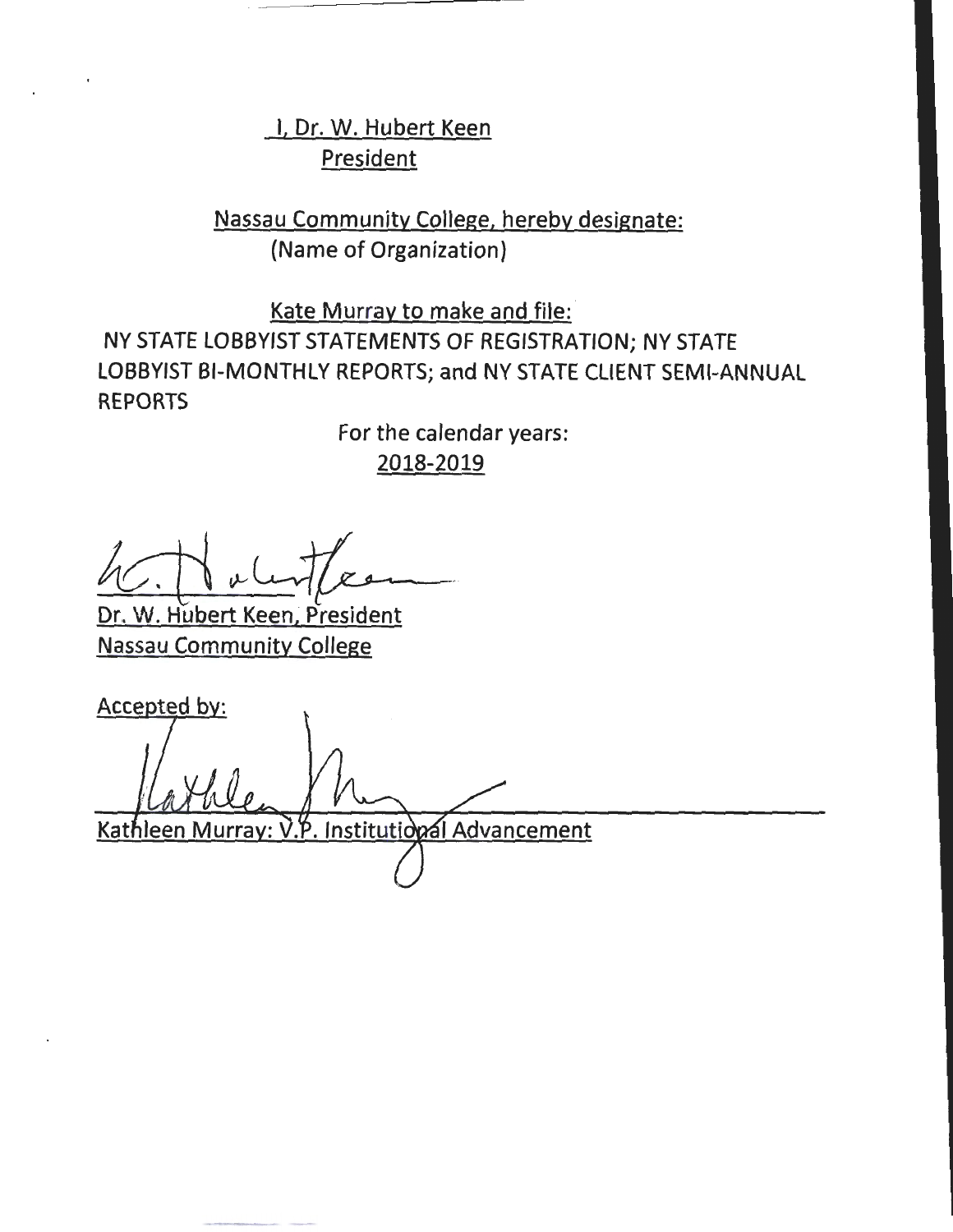I, Dr. W. Hubert Keen **President** 

Nassau Community College, hereby designate: (Name of Organization)

Kate Murray to make and file: NY STATE LOBBYIST STATEMENTS OF REGISTRATION; NY STATE LOBBYIST BI-MONTHLY REPORTS; and NY STATE CLIENT SEMI-ANNUAL REPORTS

> For the calendar years: 2018-2019

Dr. W. Hubert Keen, President Nassau Community College

Accepted by: Kathleen Murray: V.P. Institutional Advancement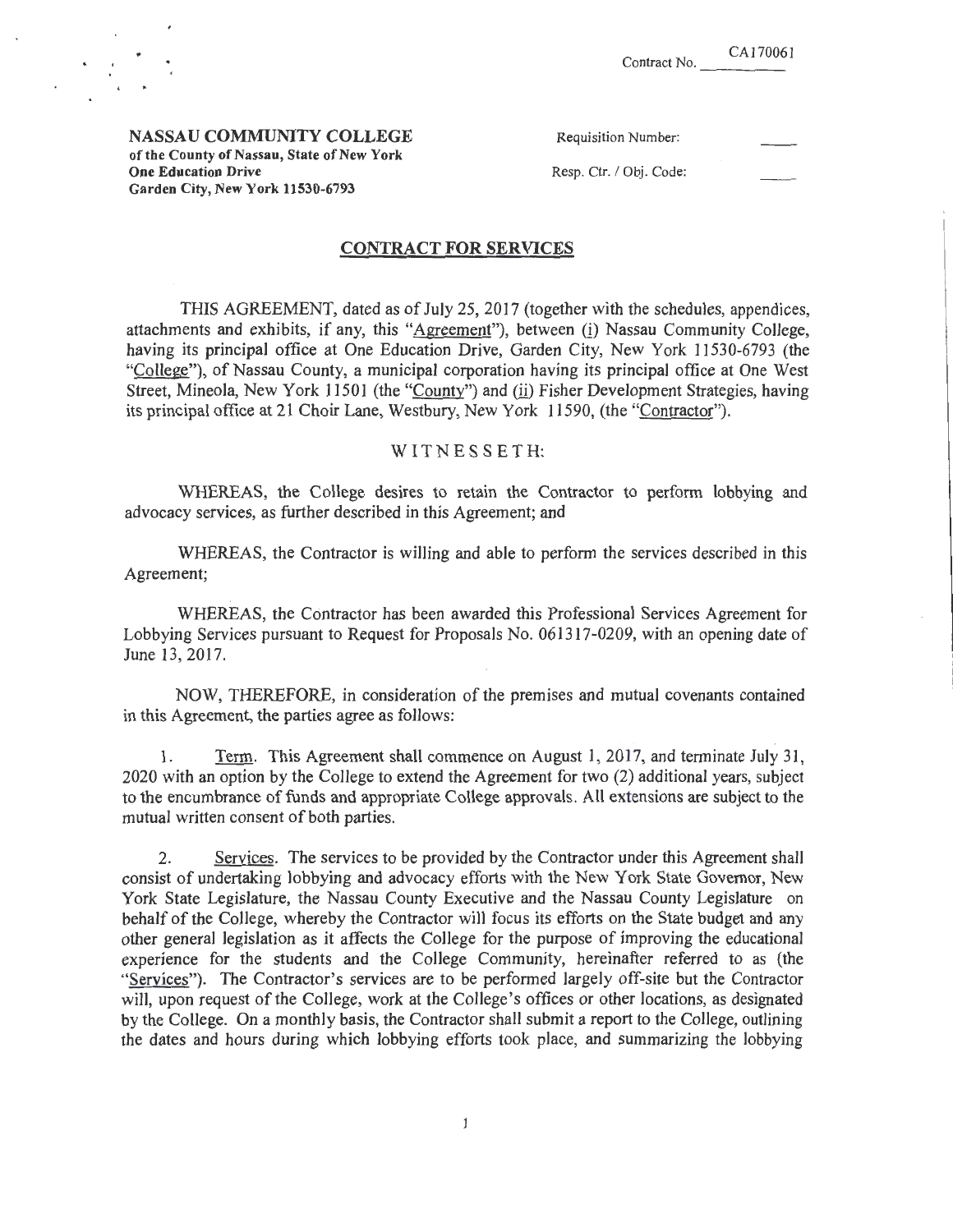NASSAU COMMUNITY COLLEGE of the County of Nassau, State of New York One Education Drive Garden City, New York 11530-6793

| <b>Requisition Number:</b> |  |
|----------------------------|--|
| Resp. Ctr. / Obj. Code:    |  |

## CONTRACT FOR SERVICES

THIS AGREEMENT, dated as of July 25, 2017 (together with the schedules, appendices, attachments and exhibits, if any, this "Agreement"), between (i) Nassau Community College, having its principal office at One Education Drive, Garden City, New York 11530-6793 (the "College"), of Nassau County, a municipal corporation having its principal office at One West Street, Mineola, New York 11501 (the "County") and (ii) Fisher Development Strategies, having its principal office at 21 Choir Lane, Westbury, New York 11590, (the "Contractor").

## WITNESSETH:

WHEREAS, the College desires to retain the Contractor to perform lobbying and advocacy services, as further described in this Agreement; and

WHEREAS, the Contractor is willing and able to perform the services described in this Agreement;

WHEREAS, the Contractor has been awarded this Professional Services Agreement for Lobbying Services pursuant to Request for Proposals No. 061317-0209, with an opening date of June 13, 2017.

NOW, THEREFORE, in consideration of the premises and mutual covenants contained in this Agreement, the parties agree as follows:

1. Term. This Agreement shall commence on August 1, 2017, and terminate July 31, 2020 with an option by the College to extend the Agreement for two (2) additional years, subject to the encumbrance of funds and appropriate College approvals. All extensions *ate* subject to the mutual written consent of both parties.

2. Services. The services to be provided by the Contractor under this Agreement shall consist of undertaking lobbying and advocacy efforts with the New York State Governor, New York State Legislature, the Nassau County Executive and the Nassau County Legislature on behalf of the College, whereby the Contractor will focus its efforts on the State budget and any other general legislation as it affects the College for the purpose of improving the educational experience for the students and the College Community, hereinafter referred to as (the "Services"). The Contractor's services are to be performed largely off-site but the Contractor will, upon request of the College, work at the College's offices or other locations, as designated by the College. On a monthly basis, the Contractor shall submit a report to the College, outlining the dates and hours during which lobbying efforts took place, and summarizing the lobbying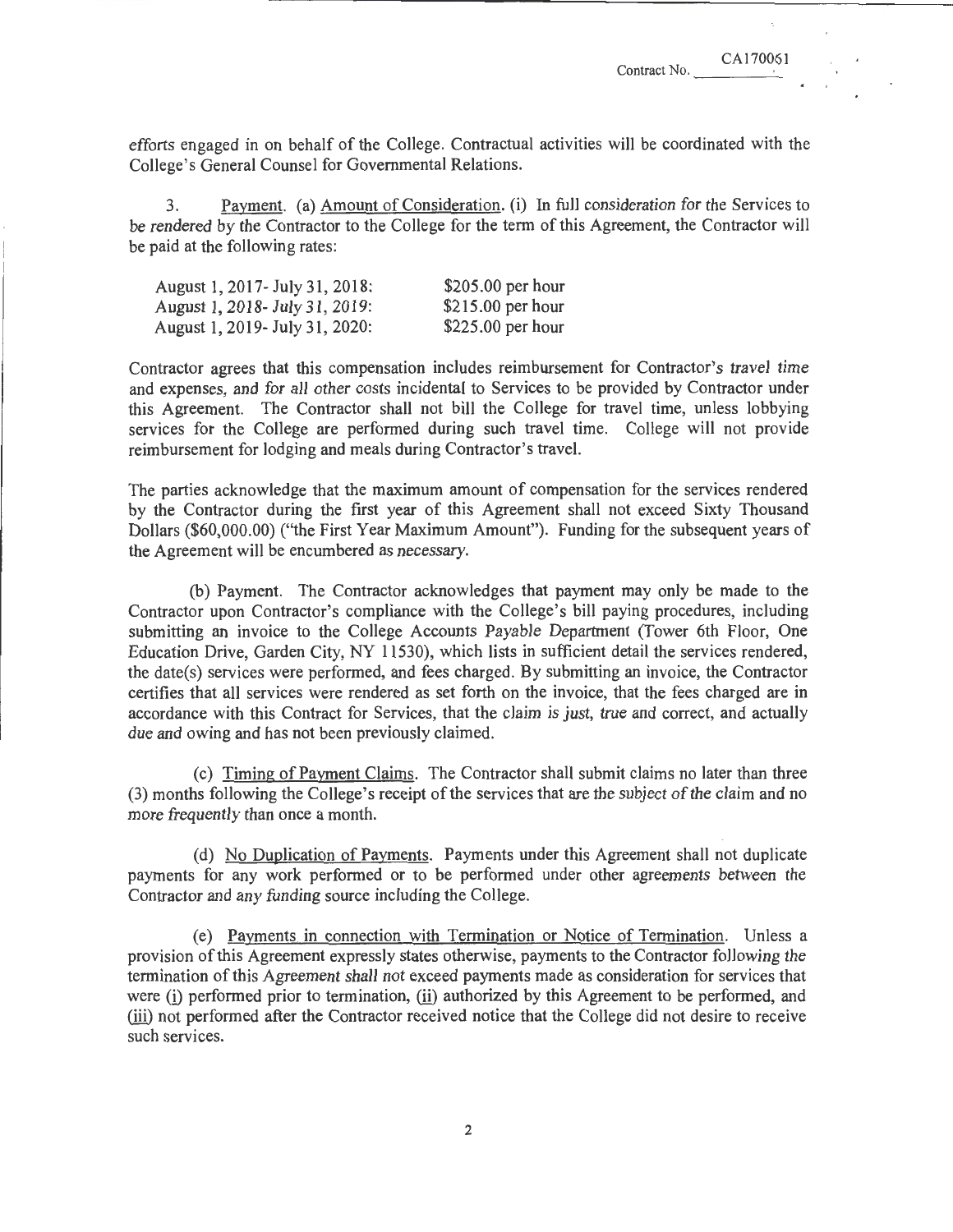efforts engaged in on behalf of the College. Contractual activities will be coordinated with the College's General Counsel for Governmental Relations.

3. Payment. (a) Amount of Consideration. (i) In full consideration for the Services to be rendered by the Contractor to the College for the term of this Agreement, the Contractor will be paid at the following rates:

| August 1, 2017 - July 31, 2018: | $$205.00$ per hour |
|---------------------------------|--------------------|
| August 1, 2018 - July 31, 2019: | $$215.00$ per hour |
| August 1, 2019 July 31, 2020:   | $$225.00$ per hour |

Contractor agrees that this compensation includes reimbursement for Contractor's travel time and expenses, and for all other costs incidental to Services to be provided by Contractor under this Agreement. The Contractor shall not bill the College for travel time, unless lobbying services for the College are performed during such travel time. College will not provide reimbursement for lodging and meals during Contractor's travel.

The parties acknowledge that the maximum amount of compensation for the services rendered by the Contractor during the first year of this Agreement shall not exceed Sixty Thousand Dollars (\$60,000.00) ("the First Year Maximum Amount"). Funding for the subsequent years of the Agreement will be encumbered as necessary.

(b) Payment. The Contractor acknowledges that payment may only be made to the Contractor upon Contractor's compliance with the College's bill paying procedures, including submitting an invoice to the College Accounts Payable Department (Tower 6th Floor, One Education Drive, Garden City, NY II530), which lists in sufficient detail the services rendered, the date(s) services were performed, and fees charged. By submitting an invoice, the Contractor certifies that all services were rendered as set forth on the invoice, that the fees charged are in accordance with this Contract for Services, that the claim is just, true and correct, and actually due and owing and has not been previously claimed.

(c) Timing of Pavment Claims. The Contractor shall submit claims no later than three (3) months following the College's receipt of the services that are the subject of the claim and no more frequently than once a month.

(d) No Duplication of Payments. Payments under this Agreement shall not duplicate payments for any work performed or to be performed under other agreements between the Contractor and any funding source including the College.

(e) Payments in connection with Termination or Notice of Termination. Unless a provision of this Agreement expressly states otherwise, payments to the Contractor following the termination of this Agreement shall not exceed payments made as consideration for services that were (i) performed prior to termination, (ii) authorized by this Agreement to be performed, and (ill) not performed after the Contractor received notice that the College did not desire to receive such services.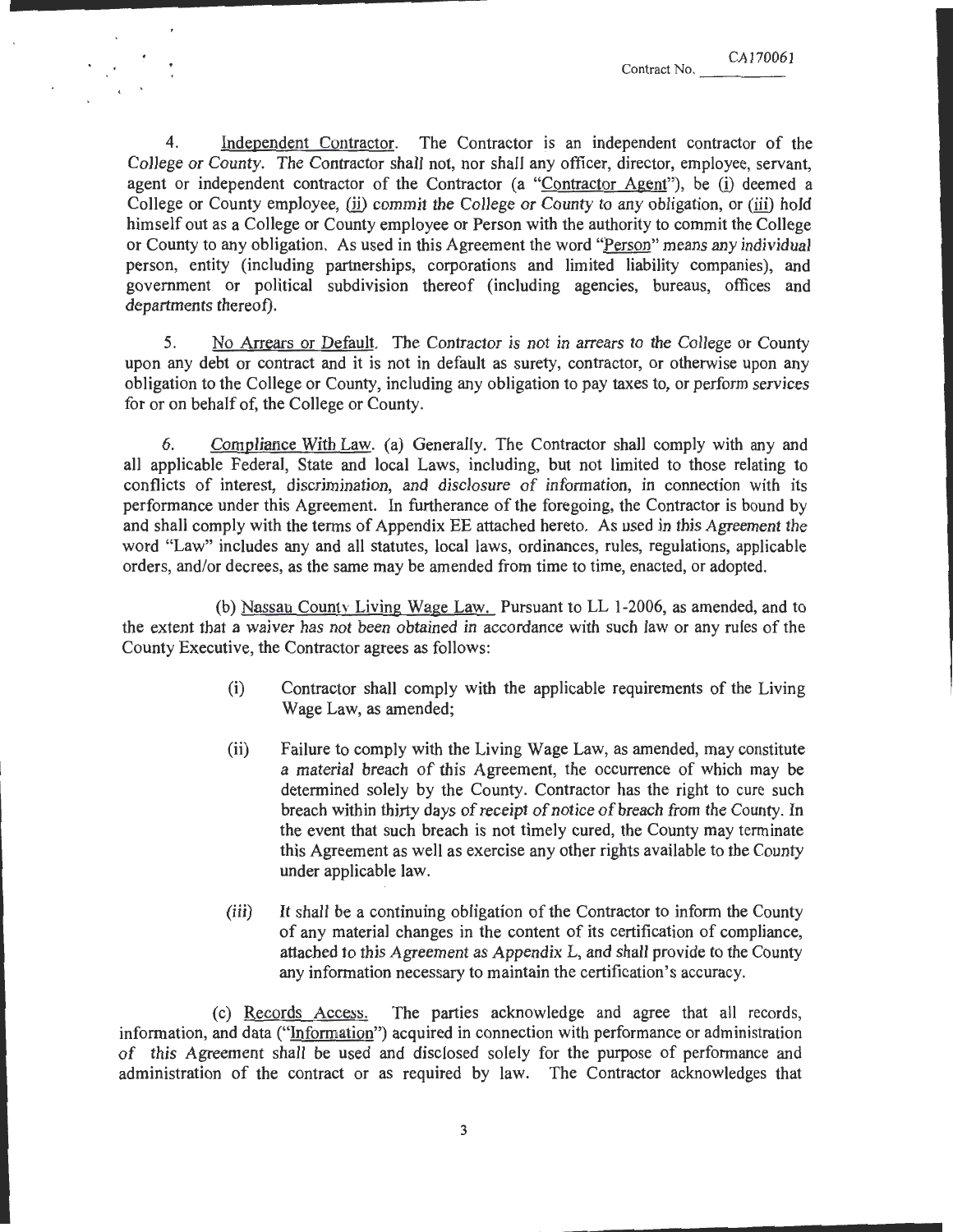4. Independent Contractor. The Contractor is an independent contractor of the College or County. The Contractor shall not, nor shall any officer, director, employee, servant, agent or independent contractor of the Contractor (a "Contractor Agent"), be (i) deemed a College or County employee,  $(i)$  commit the College or County to any obligation, or  $(iii)$  hold himself out as a College or County employee or Person with the authority to commit the College or County to any obligation. As used in this Agreement the word "Person" means any individual person, entity (including partnerships, corporations and limited liability companies), and government or political subdivision thereof (including agencies, bureaus, offices and departments thereof).

5. No Arrears or Default. The Contractor is not in arrears to the College or County upon any debt or contract and it is not in default as surety, contractor, or otherwise upon any obligation to the College or County, including any obligation to pay taxes to, or perform services for or on behalf of, the College or County.

6. Compliance With Law. (a) Generally. The Contractor shall comply with any and all applicable Federal, State and local Laws, including, but not limited to those relating to conflicts of interest, discrimination, and disclosure of information, in connection with its performance under this Agreement. In furtherance of the foregoing, the Contractor is bound by and shall comply with the terms of Appendix EE attached hereto. As used in this Agreement the word "Law" includes any and all statutes, local laws, ordinances, rules, regulations, applicable orders, and/or decrees, as the same may be amended from time to time, enacted, or adopted.

(b) Nassau County Living Wage Law. Pursuant to LL 1-2006, as amended, and to the extent that a waiver has not been obtained in accordance with such Jaw or any rules of the County Executive, the Contractor agrees as follows:

- (i) Contractor shall comply with the applicable requirements of the Living Wage Law, as amended;
- (ii) Failure to comply with the Living Wage Law, as amended, may constitute a material breach of this Agreement, the occurrence of which may be determined solely by the County. Contractor has the right to cure such breach within thirty days of receipt of notice of breach from the County. In the event that such breach is not timely cured, the County may terminate this Agreement as well as exercise any other rights available to the County under applicable law.
- (iii) It shall be a continuing obligation of the Contractor to inform the County of any material changes in the content of its certification of compliance, attached to this Agreement as Appendix L, and shall provide to the County any information necessary to maintain the certification's accuracy.

(c) Records Access. The parties acknowledge and agree that all records, information, and data (" $Information$ ") acquired in connection with performance or administration</u> of this Agreement shall be used and disclosed solely for the purpose of performance and administration of the contract or as required by law. The Contractor acknowledges that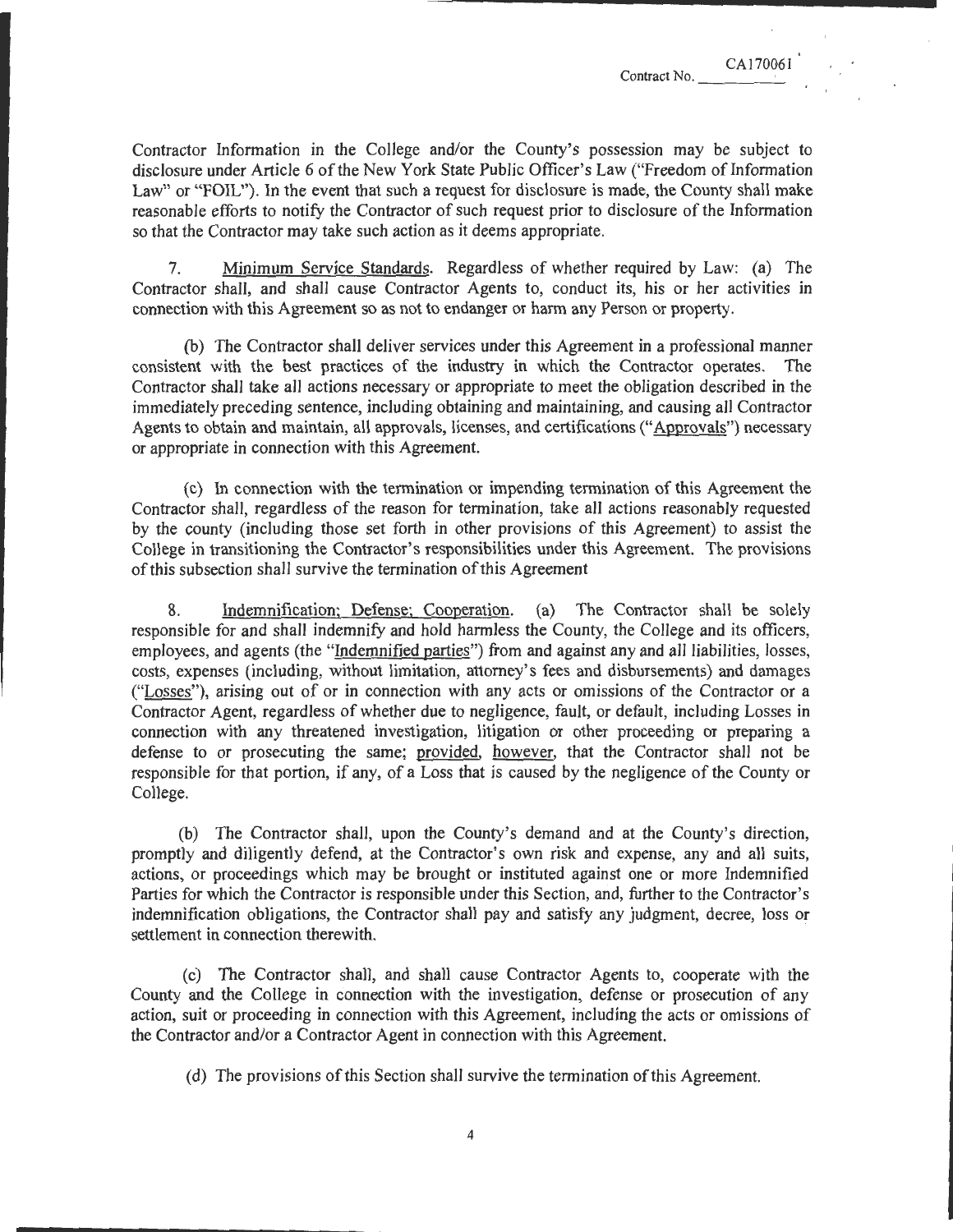\_\_\_\_\_\_\_\_\_\_\_\_\_\_ ..........

7. Minimum Service Standards. Regardless of whether required by Law: (a) The Contractor shall, and shall cause Contractor Agents to, conduct its, his or her activities in connection with this Agreement so as not to endanger or harm any Person or property.

reasonable efforts to notify the Contractor of such request prior to disclosure of the Information

so that the Contractor may take such action as it deems appropriate.

(b) The Contractor shall deliver services under this Agreement in a professional manner consistent with the best practices of the industry in which the Contractor operates. The Contractor shall take all actions necessary or appropriate to meet the obligation described in the immediately preceding sentence, including obtaining and maintaining, and causing all Contractor Agents to obtain and maintain, all approvals, licenses, and certifications ("Approvals") necessary or appropriate in connection with this Agreement.

(c) In connection with the termination or impending termination of this Agreement the Contractor shall, regardless of the reason for termination, take all actions reasonably requested by the county (including those set forth in other provisions of this Agreement) to assist the College in transitioning the Contractor's responsibilities under this Agreement. The provisions of this subsection shall survive the termination of this Agreement

8. Indemnification; Defense; Cooperation. (a) The Contractor shall be solely responsible for and shall indemnify and hold harmless the County, the College and its officers, employees, and agents (the "Indemnified parties") from and against any and all liabilities, losses, costs, expenses (including, without limitation, attorney's fees and disbursements) and damages ("Losses"), arising out of or in connection with any acts or omissions of the Contractor or a Contractor Agent, regardless of whether due to negligence, fault, or default, including Losses in connection with any threatened investigation, litigation or other proceeding or preparing a defense to or prosecuting the same; provided, however, that the Contractor shall not be responsible for that portion, if any, of a Loss that is caused by the negligence of the County or College.

(b) The Contractor shall, upon the County's demand and at the County's direction, promptly and diligently defend, at the Contractor's own risk and expense, any and all suits, actions, or proceedings which may be brought or instituted against one or more Indemnified Parties for which the Contractor is responsible under this Section, and, further to the Contractor's indemnification obligations, the Contractor shall pay and satisfy any judgment, decree, loss or settlement in connection therewith.

(c) The Contractor shall, and shall cause Contractor Agents to, cooperate with the County and the College in connection with the investigation, defense or prosecution of any action, suit or proceeding in connection with this Agreement, including the acts or omissions of the Contractor and/or a Contractor Agent in connection with this Agreement.

(d) The provisions of this Section shall survive the termination of this Agreement.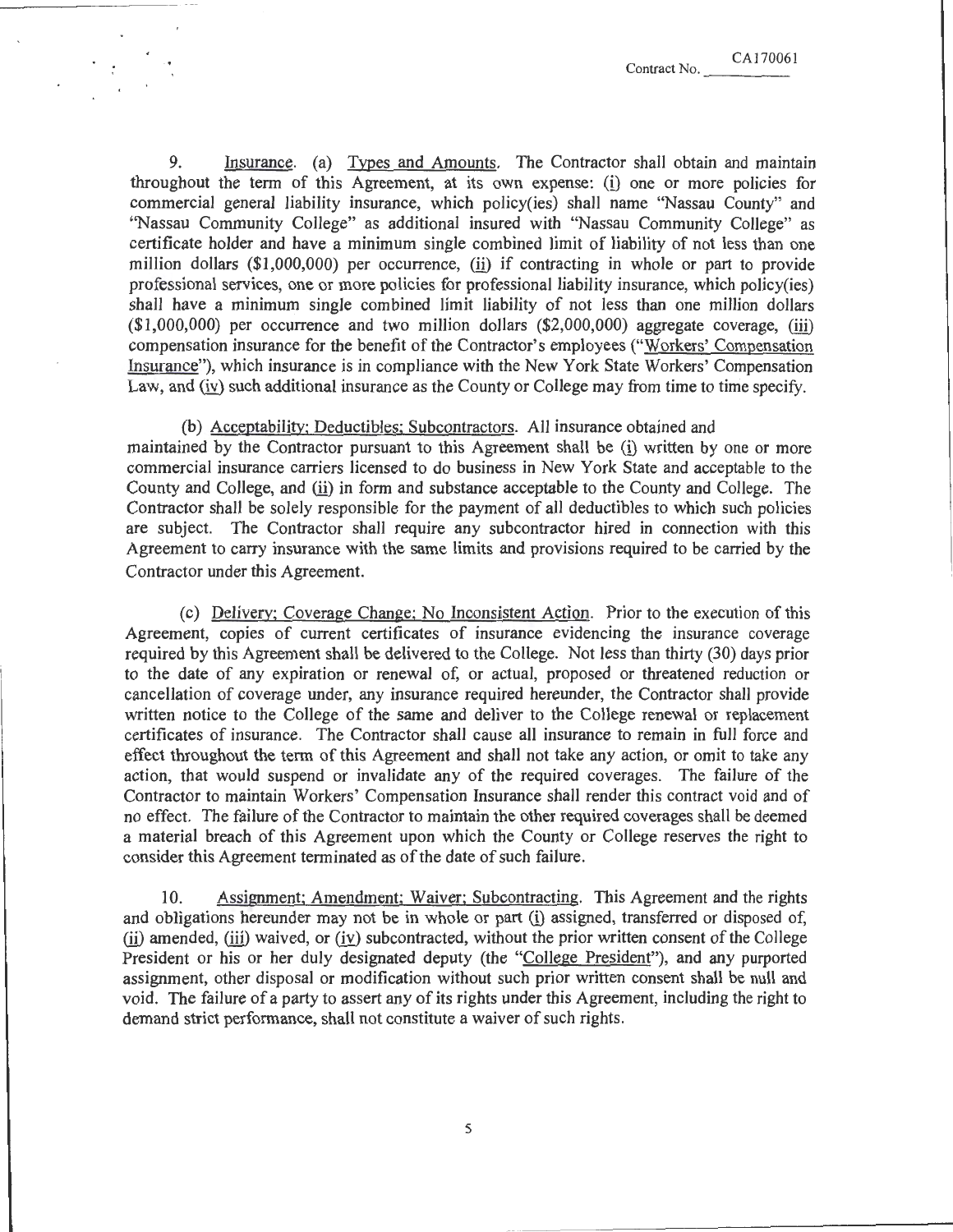9. Insurance. (a) Types and Amounts. The Contractor shall obtain and maintain throughout the term of this Agreement, at its own expense: (i) one or more policies for commercial general liability insurance, which policy(ies) shall name "Nassau County" and "Nassau Community College" as additional insured with "Nassau Community College" as certificate holder and have a minimum single combined limit of liability of not less than one million dollars  $(\$1,000,000)$  per occurrence, (ii) if contracting in whole or part to provide professional services, one or more policies for professional liability insurance, which policy(ies) shall have a minimum single combined limit liability of not less than one million dollars  $(*1,000,000)$  per occurrence and two million dollars  $(*2,000,000)$  aggregate coverage, (iii) compensation insurance for the benefit of the Contractor's employees ("Workers' Compensation Insurance"), which insurance is in compliance with the New York State Workers' Compensation Law, and (iv) such additional insurance as the County or College may from time to time specify.

(b) Acceptability; Deductibles: Subcontractors. All insurance obtained and maintained by the Contractor pursuant to this Agreement shall be (i) written by one or more commercial insurance carriers licensed to do business in New York State and acceptable to the County and College, and (ii) in form and substance acceptable to the County and College. The Contractor shall be solely responsible for the payment of all deductibles to which such policies are subject. The Contractor shall require any subcontractor hired in connection with this Agreement to carry insurance with the same limits and provisions required to be carried by the Contractor under this Agreement.

(c) Delivery; Coverage Change; No Inconsistent Action. Prior to the execution of this Agreement, copies of current certificates of insurance evidencing the insurance coverage required by this Agreement shall be delivered to the College. Not less than thirty (30) days prior to the date of any expiration or renewal of, or actual, proposed or threatened reduction or cancellation of coverage under, any insurance required hereunder, the Contractor shall provide written notice to the College of the same and deliver to the College renewal or replacement certificates of insurance. The Contractor shall cause all insurance to remain in full force and effect throughout the term of this Agreement and shall not take any action, or omit to take any action, that would suspend or invalidate any of the required coverages. The failure of the Contractor to maintain Workers' Compensation Insurance shall render this contract void and of no effect. The failure of the Contractor to maintain the other required coverages shall be deemed a material breach of this Agreement upon which the County or College reserves the right to consider this Agreement terminated as of the date of such failure .

10. Assignment; Amendment; Waiver: Subcontracting. This Agreement and the rights and obligations hereunder may not be in whole or part (i) assigned, transferred or disposed of,  $(iii)$  amended,  $(iii)$  waived, or  $(iv)$  subcontracted, without the prior written consent of the College President or his or her duly designated deputy (the "College President"), and any purported assignment, other disposal or modification without such prior written consent shall be null and void. The failure of a party to assert any of its rights under this Agreement, including the right to demand strict performance, shall not constitute a waiver of such rights.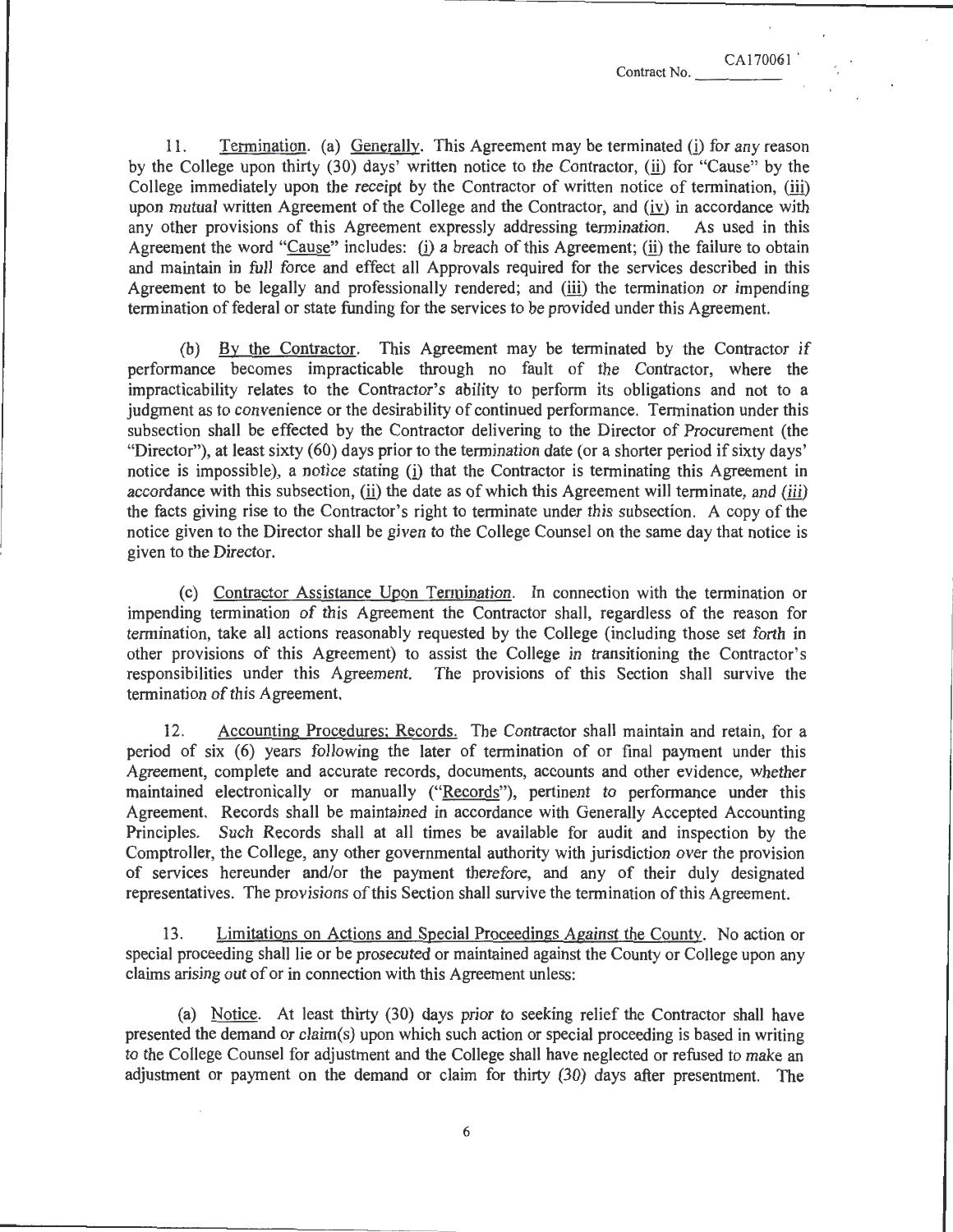CA170061

11. Termination. (a) Generally. This Agreement may be terminated (i) for any reason by the College upon thirty (30) days' written notice to the Contractor, (ii) for "Cause" by the College immediately upon the receipt by the Contractor of written notice of termination, (iii) upon mutual written Agreement of the College and the Contractor, and (iv) in accordance with any other provisions of this Agreement expressly addressing termination. As used in this Agreement the word "Cause" includes: (i) a breach of this Agreement; (ii) the failure to obtain and maintain in full force and effect all Approvals required for the services described in this Agreement to be legally and professionally rendered; and (iii) the termination or impending

(b) By the Contractor. This Agreement may be terminated by the Contractor if performance becomes impracticable through no fault of the Contractor, where the impracticability relates to the Contractor's ability to perform its obligations and not to a judgment as to convenience or the desirability of continued performance. Termination under this subsection shall be effected by the Contractor delivering to the Director of Procurement (the "Director"), at least sixty ( 60) days prior to the termination date (or a shorter period if sixty days' notice is impossible), a notice stating (i) that the Contractor is terminating this Agreement in accordance with this subsection, (ii) the date as of which this Agreement will terminate, and (iii) the facts giving rise to the Contractor's right to terminate under this subsection. A copy of the notice given to the Director shall be given to the College Counsel on the same day that notice is given to the Director.

termination of federal or state funding for the services to be provided under this Agreement.

(c) Contractor Assistance Upon Termination. In connection with the termination or impending termination of this Agreement the Contractor shall, regardless of the reason for termination, take all actions reasonably requested by the College {including those set forth in other provisions of this Agreement) to assist the College in transitioning the Contractor's responsibilities under this Agreement. The provisions of this Section shall survive the termination of this Agreement.

12. Accounting Procedures; Records. The Contractor shall maintain and retain, for a period of six (6) years following the later of termination of or final payment under this Agreement, complete and accurate records, documents, accounts and other evidence, whether maintained electronically or manually ("Records"), pertinent to performance under this Agreement. Records shall be maintained in accordance with Generally Accepted Accounting Principles. Such Records shall at all times be available for audit and inspection by the Comptroller, the College, any other governmental authority with jurisdiction over the provision of services hereunder and/or the payment therefore, and any of their duly designated representatives. The provisions of this Section shall survive the termination of this Agreement.

13. Limitations on Actions and Special Proceedings Against the County. No action or special proceeding shall lie or be prosecuted or maintained against the County or College upon any claims arising out of or in connection with this Agreement unless:

(a) Notice. At least thirty (30) days prior to seeking relief the Contractor shall have presented the demand or claim(s) upon which such action or special proceeding is based in writing to the College Counsel for adjustment and the College shall have neglected or refused to make an adjustment or payment on the demand or claim for thirty (30) days after presentment. The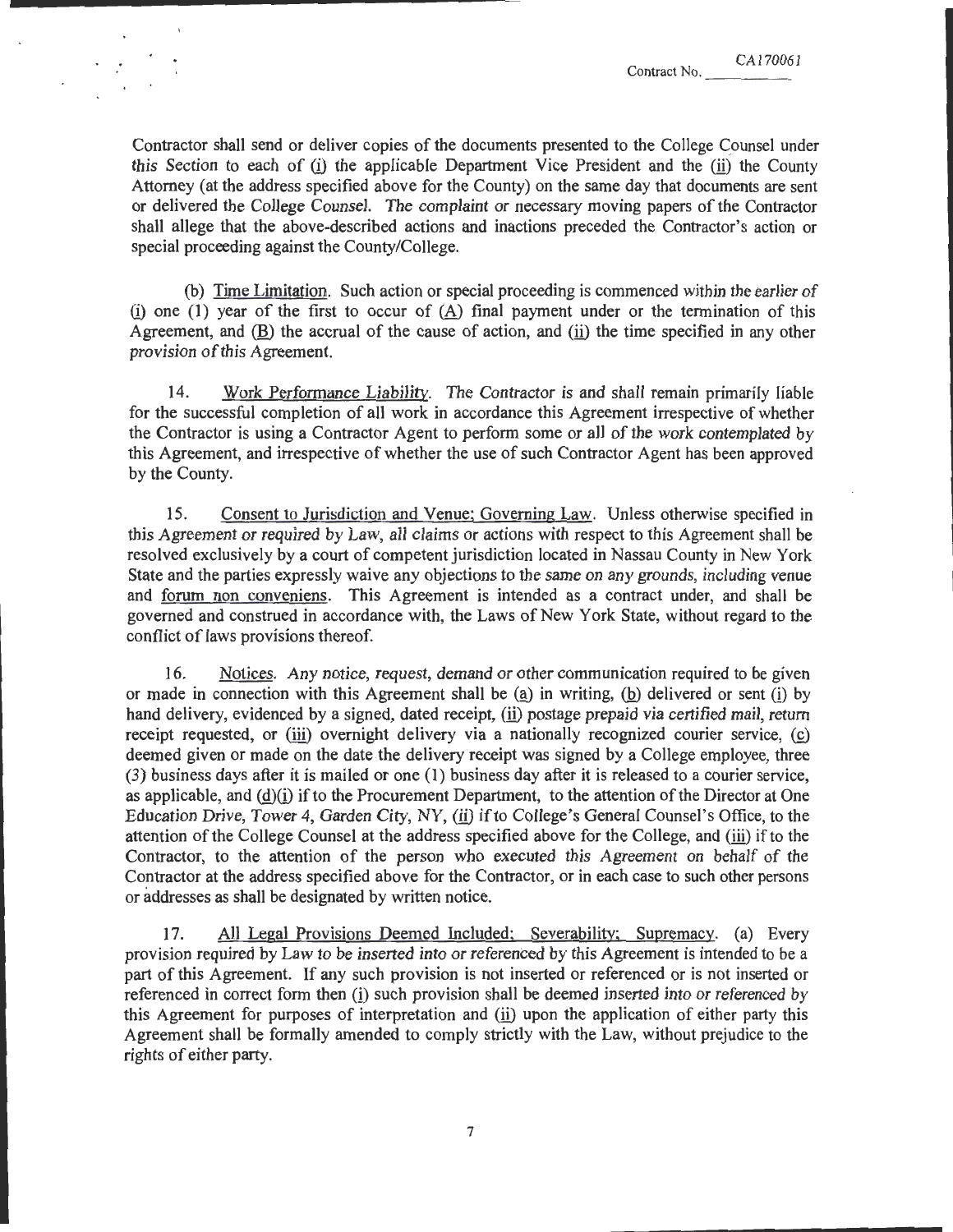CA170061 Contract No.

Contractor shall send or deliver copies of the documents presented to the College Counsel under this Section to each of  $(i)$  the applicable Department Vice President and the  $(ii)$  the County Attorney (at the address specified above for the County) on the same day that documents are sent or delivered the College Counsel. The complaint or necessary moving papers of the Contractor shall allege that the above-described actions and inactions preceded the Contractor's action or special proceeding against the County/College.

(b) Time Limitation. Such action or special proceeding is commenced within the earlier of (i) one (1) year of the first to occur of  $(\underline{A})$  final payment under or the termination of this Agreement, and  $(\underline{B})$  the accrual of the cause of action, and  $(i)$  the time specified in any other provision of this Agreement.

14. Work Performance Liability. The Contractor is and shall remain primarily liable for the successful completion of all work in accordance this Agreement irrespective of whether the Contractor is using a Contractor Agent to perform some or all of the work contemplated by this Agreement, and irrespective of whether the use of such Contractor Agent has been approved by the County.

15. Consent to Jurisdiction and Venue; Governing Law. Unless otherwise specified in this Agreement or required by Law, all claims or actions with respect to this Agreement shall be resolved exclusively by a court of competent jurisdiction located in Nassau County in New York State and the parties expressly waive any objections to the same on any grounds, including venue and <u>forum non conveniens</u>. This Agreement is intended as a contract under, and shall be governed and construed in accordance with, the Laws of New York State, without regard to the conflict of laws provisions thereof.

16. Notices. Any notice, request, demand or other communication required to be given or made in connection with this Agreement shall be  $(a)$  in writing,  $(b)$  delivered or sent  $(i)$  by hand delivery, evidenced by a signed, dated receipt, (ii) postage prepaid via certified mail, return receipt requested, or  $(iii)$  overnight delivery via a nationally recognized courier service,  $(c)$ deemed given or made on the date the delivery receipt was signed by a College employee, three (3) business days after it is mailed or one (I) business day after it is released to a courier service, as applicable, and  $(d)(i)$  if to the Procurement Department, to the attention of the Director at One Education Drive, Tower 4, Garden City, NY, (ii) if to College's General Counsel's Office, to the attention of the College Counsel at the address specified above for the College, and  $(iii)$  if to the Contractor, to the attention of the person who executed this Agreement on behalf of the Contractor at the address specified above for the Contractor, or in each case to such other persons or addresses as shall be designated by written notice.

17. All Legal Provisions Deemed Included; Severability; Supremacy. (a) Every provision required by Law to be inserted into or referenced by this Agreement is intended to be a part of this Agreement. If any such provision is not inserted or referenced or is not inserted or referenced in correct form then (i) such provision shall be deemed inserted into or referenced by this Agreement for purposes of interpretation and (ii) upon the application of either party this Agreement shall be formally amended to comply strictly with the Law, without prejudice to the rights of either party.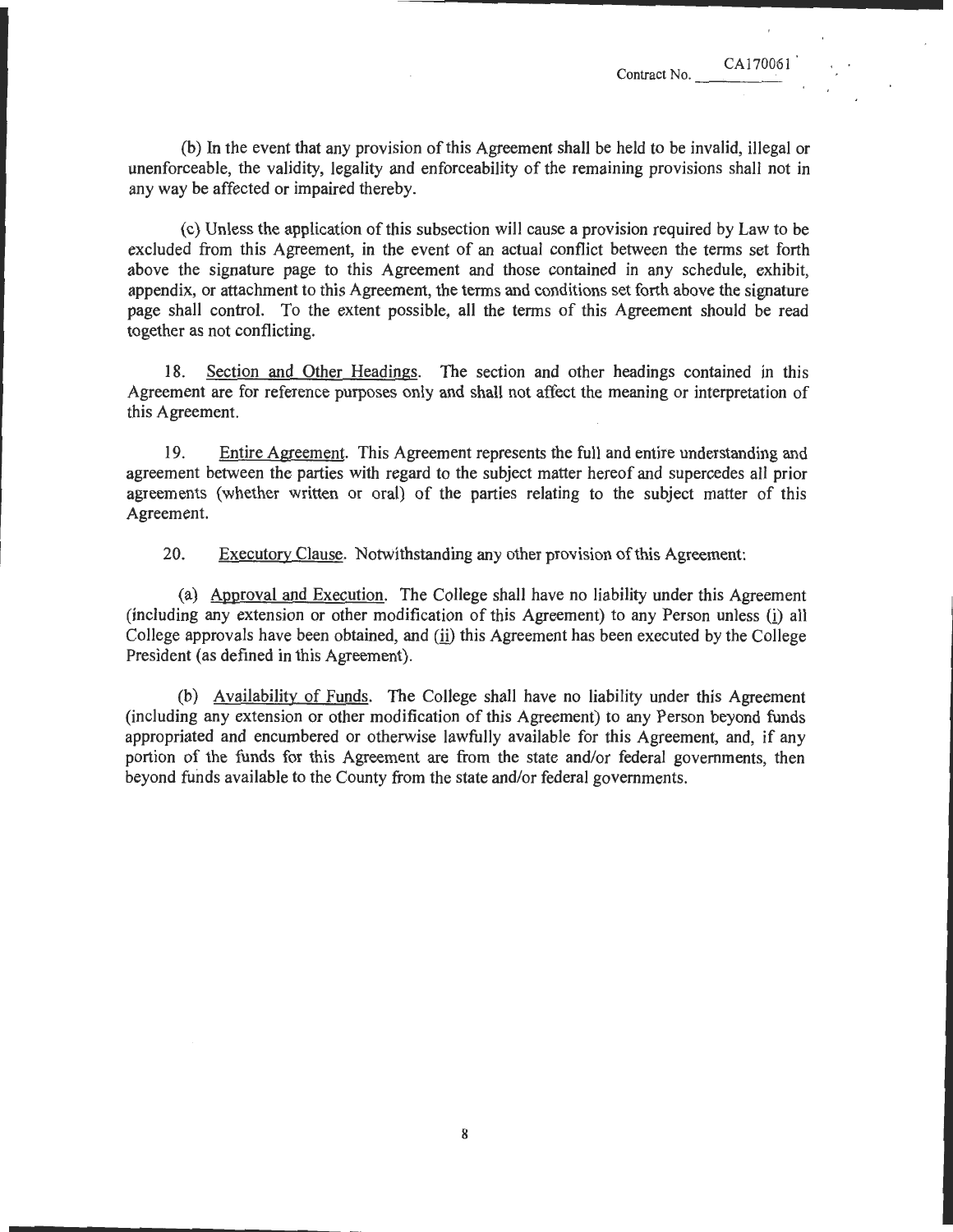(b) In the event that any provision of this Agreement shall be held to be invalid, illegal or unenforceable, the validity, legality and enforceability of the remaining provisions shall not in any way be affected or impaired thereby.

(c) Unless the application of this subsection will cause a provision required by Law to be excluded from this Agreement, in the event of an actual conflict between the terms set forth above the signature page to this Agreement and those contained in any schedule, exhibit, appendix, or attachment to this Agreement, the terms and conditions set forth above the signature page shall control. To the extent possible, all the terms of this Agreement should be read together as not conflicting.

18. Section and Other Headings. The section and other headings contained in this Agreement are for reference purposes only and shall not affect the meaning or interpretation of this Agreement.

19. Entire Agreement. This Agreement represents the full and entire understanding and agreement between the parties with regard to the subject matter hereof and supercedes all prior agreements (whether written or oral) of the parties relating to the subject matter of this Agreement.

20. Executory Clause. NotWithstanding any other provision of this Agreement:

(a) Approval and Execution. The College shall have no liability under this Agreement (including any extension or other modification of this Agreement) to any Person unless (i) all College approvals have been obtained, and (ii) this Agreement has been executed by the College President (as defined in this Agreement).

(b) Availability of Funds. The College shall have no liability under this Agreement (including any extension or other modification of this Agreement) to any Person beyond funds appropriated and encumbered or otherwise lawfully available for this Agreement, and, if any portion of the funds for this Agreement are from the state and/or federal governments, then beyond funds available to the County from the state and/or federal governments.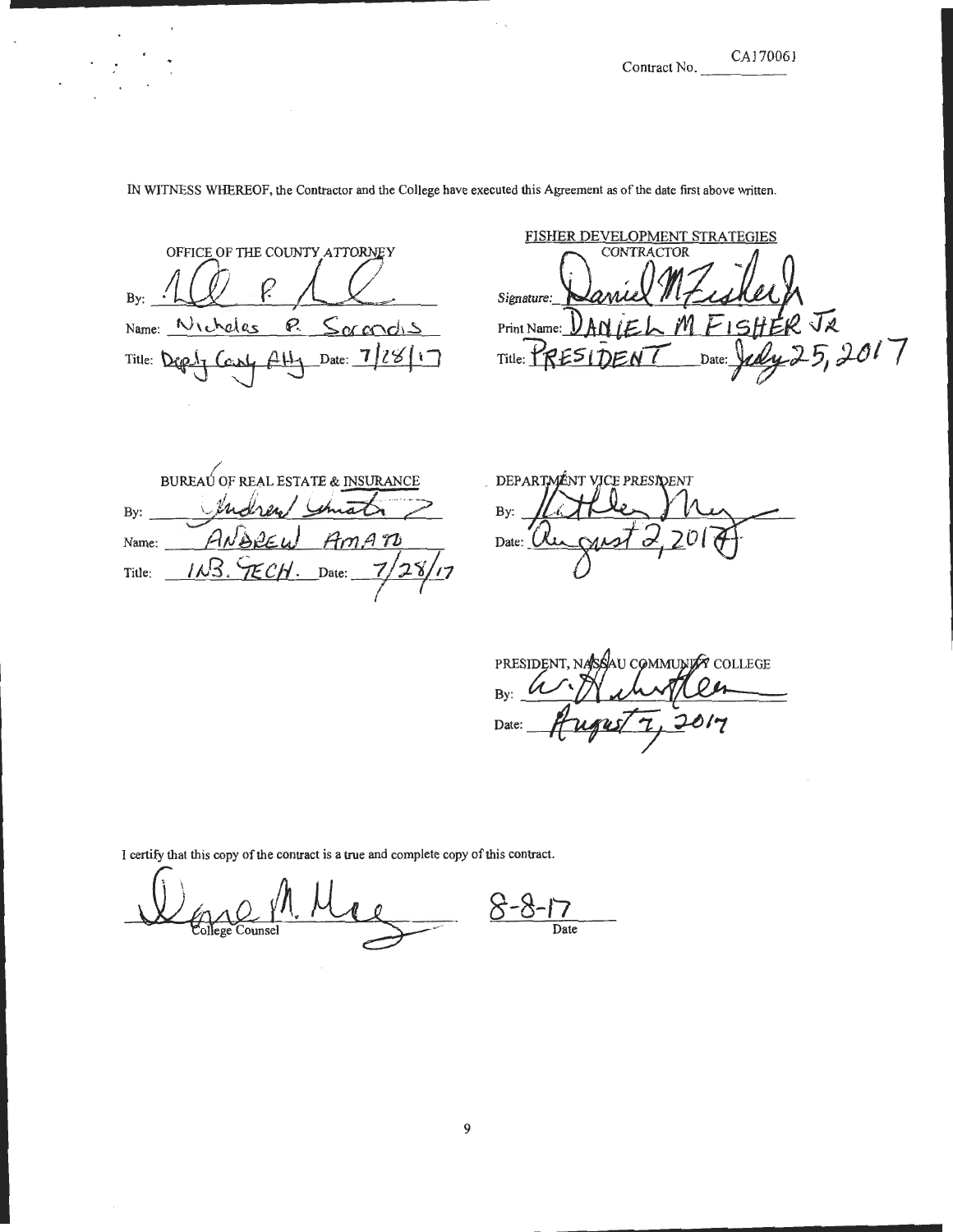Contract No. CA170061

OFFICE OF THE COUNTY ATTORNEY By: <u>P. Samdis</u> Name: Micheles  $44$  Date:  $7/28$ Title: Dep

FISHER DEVELOPMENT STRATEGIES Signature: Signature: **Daniel M7 is Hell**<br>Print Name: DAN JEL M FISHER JR<br>Title: PRESIDENT Date: Judy 25, 2017 Daniel M.Z. ik Title:  $\mathbf{R}$  $\mathbf{z}$ 

BUREAU OF REAL ESTATE & INSURANCE Indrew Smale By: ANDREU <u>I</u> Amaro Name:  $11.3.95$ CH. Date:  $7/28/17$ Title:

DEPARTMENT VICE PRESIDENT By:  $\frac{1}{\sqrt{2}}$ 

PRESIDENT, NASSAU COMMUNITY COLLEGE By: Date:

I certify that this copy of the contract is a true and complete copy of this contract.

<u>Counsel</u> 8 **Date** 

# IN WITNESS WHEREOF, the Contractor and the College have executed this Agreement as of the date first above written.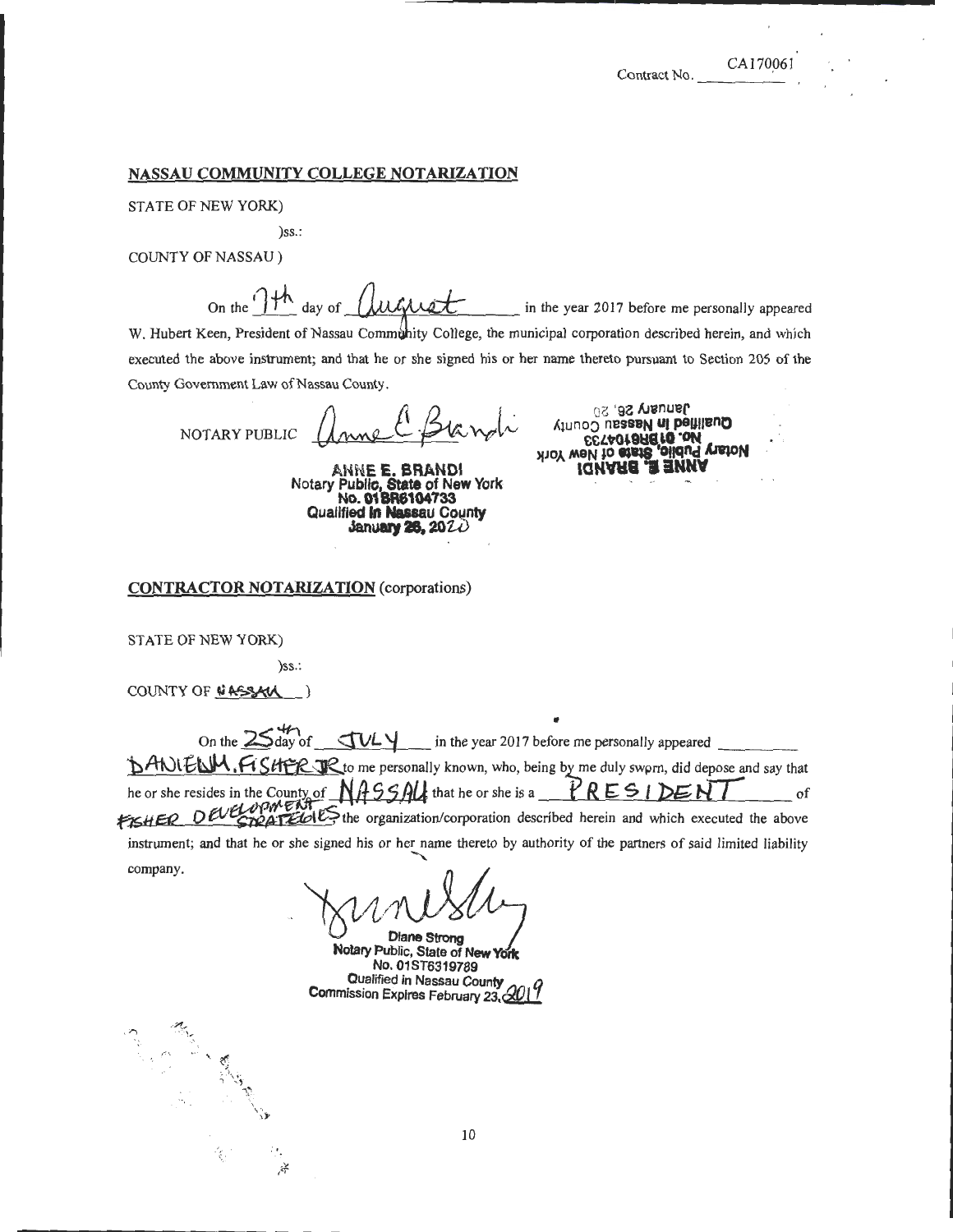\_\_\_\_\_\_\_\_\_\_\_\_\_\_\_\_ ..........

#### NASSAU COMMUNITY COLLEGE NOTARIZATION

STATE OF NEW YORK)

)ss.:

COUNTY OF NASSAU )

On the  $\int$ <sup>th</sup> day of  $\int$ *luck*  $\ell$  in the year 2017 before me personally appeared

W. Hubert Keen, President of Nassau Community College, the municipal corporation described herein, and which executed the above instrument; and that he or she signed his or her name thereto pursuant to Section 205 of the County Government Law of Nassau County.

NOTARY PUBLIC

ANNE E. BRANDl Notary Public, State of New York No. 01 BR8104733 Qualified **in Nassau County**<br>**January 26, 20** 20

January 26, 20 Gnesser ut peutlend IQUARE **a** ENUA<br>Not well to effect olidual vision<br>ESTAOTBREFO.OM

CONTRACTOR NOTARIZATION (corporations)

STATE OF NEW YORK)

)ss.:

·.' • /f

COUNTY OF NASSAL

....... .- <sup>~</sup>... . ... ": ... ·.'

, On the  $25^{47}$  of  $704$  in the year 2017 before me personally appeared **DANIELM. FISHER JR** to me personally known, who, being by me duly swprn, did depose and say that he or she resides in the County of *NASSAU* that he or she is a <u>PRESIDENT</u> of **FISHER OUT OF TEGU**, the organization/corporation described herein and which executed the above instrument; and that he or she signed his or her name thereto by authority of the partners of said limited liability company.

Diane Strong Notary Public, State of New York No. 01ST6319789 Qualified in Nassau County Commission Expires February 23, Al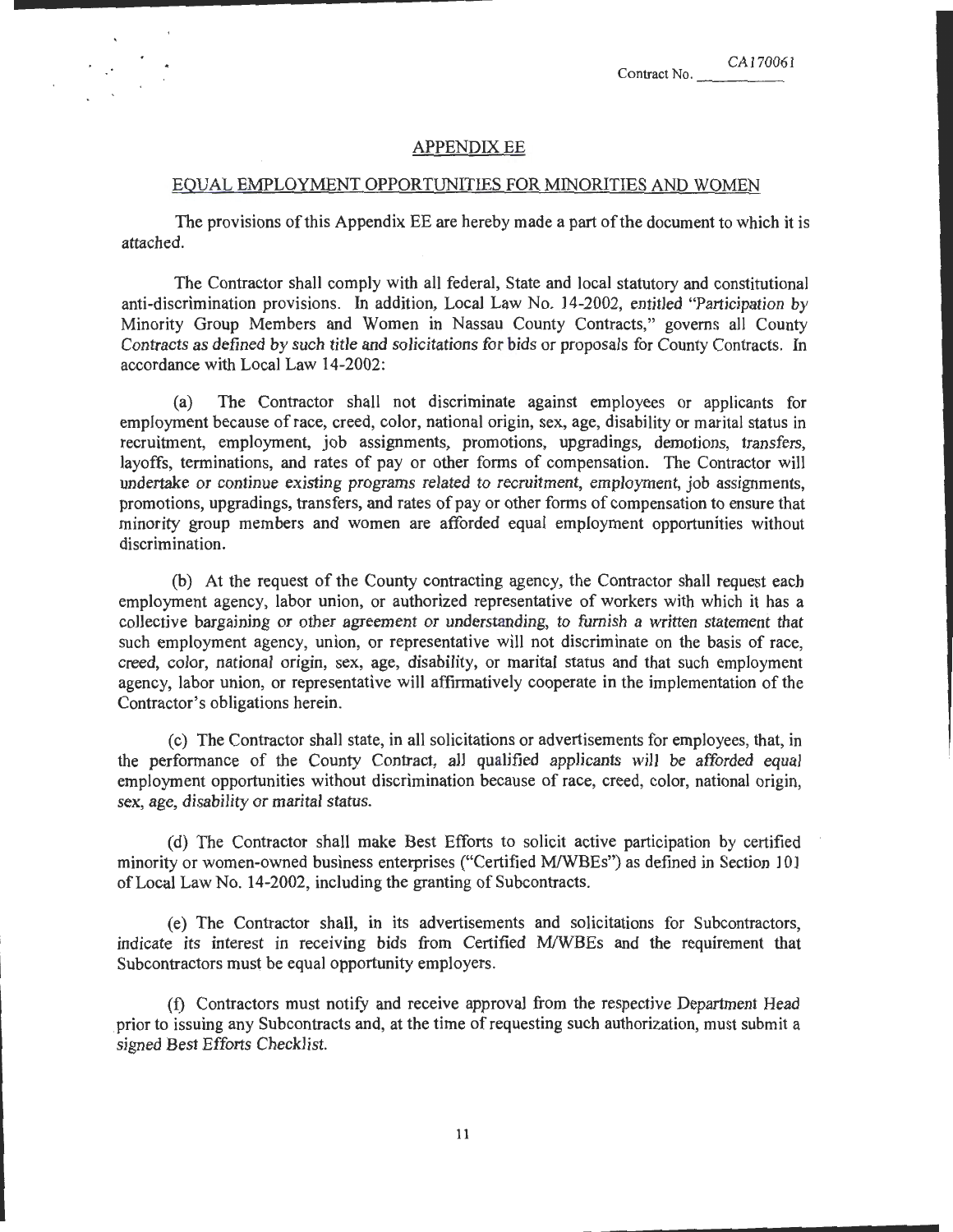## **APPENDIX EE**

......... \_\_\_\_\_\_\_\_\_\_\_\_ \_

### EQUAL EMPLOYMENT OPPORTUNITIES FOR MINORITIES AND WOMEN

The provisions of this Appendix EE are hereby made a part of the document to which it is attached.

The Contractor shall comply with all federal, State and local statutory and constitutional anti-discrimination provisions. In addition, Local Law No. I4-2002, entitled "Participation by Minority Group Members and Women in Nassau County Contracts," governs all County Contracts as defined by such title and solicitations for bids or proposals for County Contracts. In accordance with Local Law 14-2002:

(a) The Contractor shall not discriminate against employees or applicants for employment because ofrace, creed, color, national origin, sex, age, disability or marital status in recruitment, employment, job assignments, promotions, upgradings, demotions, transfers, layoffs, terminations, and rates of pay or other forms of compensation. The Contractor will undertake or continue existing programs related to recruitment, employment, job assignments, promotions, upgradings, transfers, and rates of pay or other forms of compensation to ensure that minority group members and women are afforded equal employment opportunities without discrimination.

(b) At the request of the County contracting agency, the Contractor shall request each employment agency, labor union, or authorized representative of workers with which it has a collective bargaining or other agreement or understanding, to furnish a written statement that such employment agency, union, or representative will not discriminate on the basis of race, creed, color, national origin, sex, age, disability, or marital status and that such employment agency, labor union, or representative will affirmatively cooperate in the implementation of the Contractor's obligations herein.

(c) The Contractor shall state, in all solicitations or advertisements for employees, that, in the performance of the County Contract, all qualified applicants will be afforded equal employment opportunities without discrimination because of race, creed, color, national origin, sex, age, disability or marital status.

(d) The Contractor shall make Best Efforts to solicit active participation by certified minority or women-owned business enterprises ("Certified M/WBEs") as defined in Section 101 ofLocal Law No. 14-2002, including the granting of Subcontracts.

(e) The Contractor shall, in its advertisements and solicitations for Subcontractors, indicate its interest in receiving bids from Certified MIWBEs and the requirement that Subcontractors must be equal opportunity employers.

(f) Contractors must notify and receive approval from the respective Department Head prior to issuing any Subcontracts and, at the time of requesting such authorization, must submit a signed Best Efforts Checklist.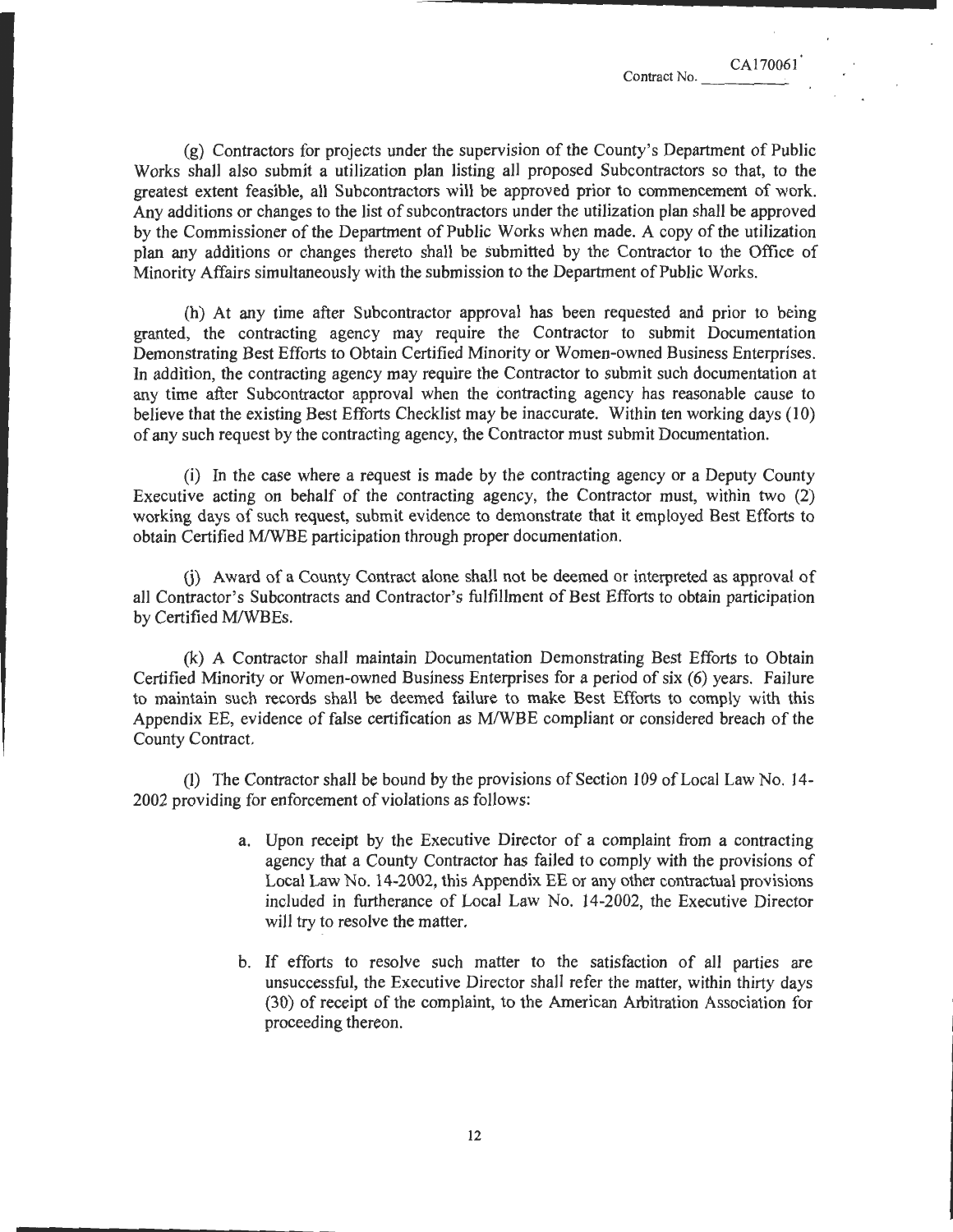CA170061

\_\_\_\_\_\_\_\_\_\_\_\_\_\_\_\_\_\_ .....

(g) Contractors for projects under the supervision of the County's Department of Public Works shall also submit a utilization plan listing all proposed Subcontractors so that, to the greatest extent feasible, all Subcontractors will be approved prior to commencement of work. Any additions or changes to the list of subcontractors under the utilization plan shall be approved by the Commissioner of the Department of Public Works when made. A copy of the utilization plan any additions or changes thereto shall be submitted by the Contractor to the Office of Minority Affairs simultaneously with the submission to the Department of Public Works.

(h) At any time after Subcontractor approval has been requested and prior to being granted, the contracting agency may require the Contractor to submit Documentation Demonstrating Best Efforts to Obtain Certified Minority or Women-owned Business Enterprises. In addition, the contracting agency may require the Contractor to submit such documentation at any time after Subcontractor approval when the contracting agency has reasonable cause to believe that the existing Best Efforts Checklist may be inaccurate. Within ten working days (10) of any such request by the contracting agency, the Contractor must submit Documentation.

(i) In the case where a request is made by the contracting agency or a Deputy County Executive acting on behalf of the contracting agency, the Contractor must, within two (2) working days of such request, submit evidence to demonstrate that it employed Best Efforts to obtain Certified M/WBE participation through proper documentation.

G) Award of a County Contract alone shall not be deemed or interpreted as approval of all Contractor's Subcontracts and Contractor's fulfillment of Best Efforts to obtain participation by Certified M/WBEs.

(k) A Contractor shall maintain Documentation Demonstrating Best Efforts to Obtain Certified Minority or Women-owned Business Enterprises for a period of six (6) years. Failure to maintain such records shall be deemed failure to make Best Efforts to comply with this Appendix EE, evidence of false certification as MIWBE compliant or considered breach of the County Contract.

(l) The Contractor shall be bound by the provisions of Section 109 of Local Law No. 14- 2002 providing for enforcement of violations as follows:

- a. Upon receipt by the Executive Director of a complaint from a contracting agency that a County Contractor has failed to comply with the provisions of Local Law No. 14-2002, this Appendix EE or any other contractual provisions included in furtherance of Local Law No. 14-2002, the Executive Director will try to resolve the matter.
- b. If efforts to resolve such matter to the satisfaction of all parties are unsuccessful, the Executive Director shall refer the matter, within thirty days (30) of receipt of the complaint, to the American Arbitration Association for proceeding thereon.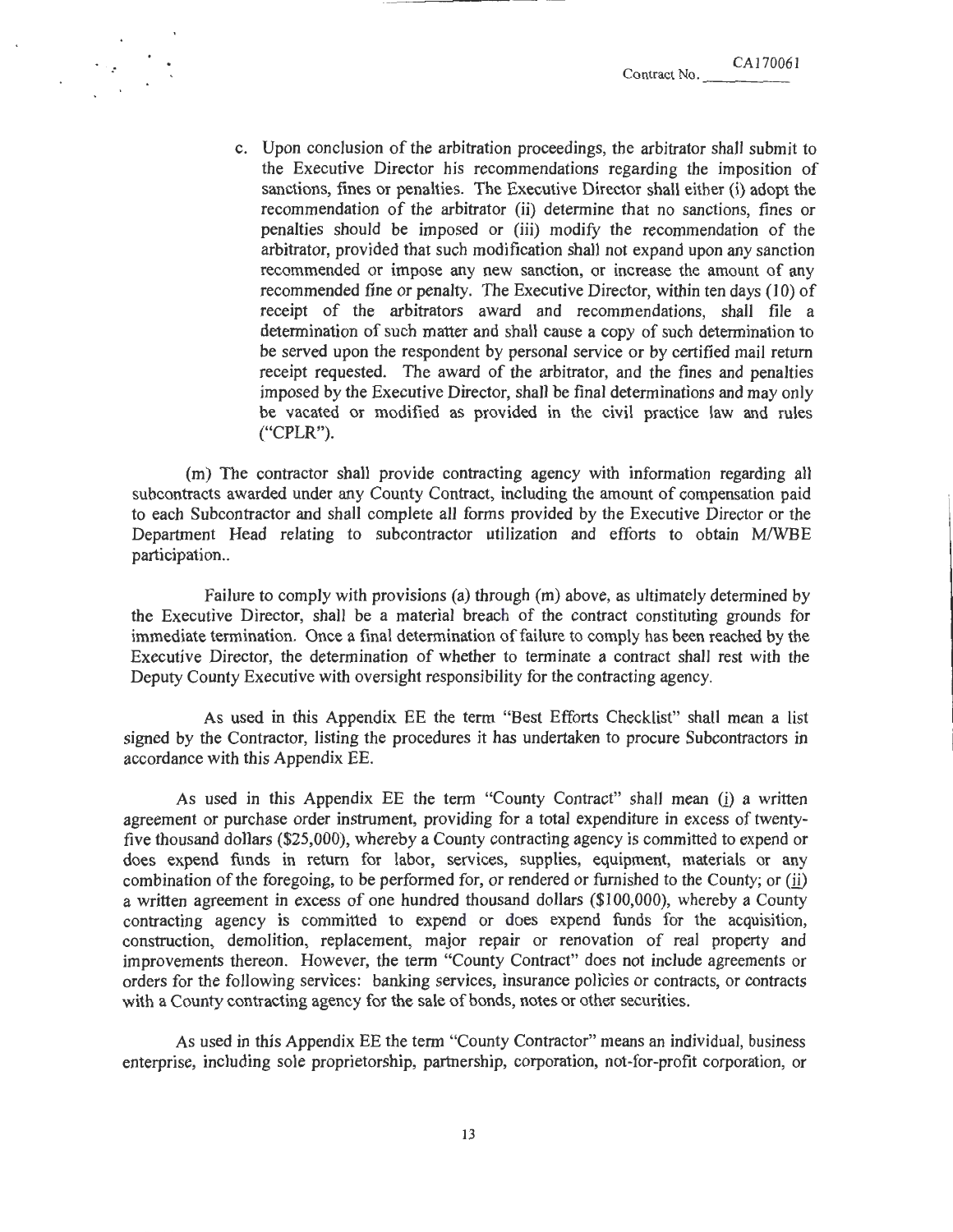c. Upon conclusion of the arbitration proceedings, the arbitrator shall submit to the Executive Director his recommendations regarding the imposition of sanctions, fines or penalties. The Executive Director shall either (i) adopt the recommendation of the arbitrator (ii) determine that no sanctions, fines or penalties should be imposed or (iii) modify the recommendation of the arbitrator, provided that such modification shall not expand upon any sanction recommended or impose any new sanction, or increase the amount of any recommended fine or penalty. The Executive Director, within ten days (10) of receipt of the arbitrators award and recommendations, shall file a determination of such matter and shall cause a copy of such determination to be served upon the respondent by personal service or by certified mail return receipt requested. The award of the arbitrator, and the fines and penalties imposed by the Executive Director, shall be final determinations and may only be vacated or modified as provided in the civil practice law and rules ("CPLR").

(m) The contractor shall provide contracting agency with information regarding all subcontracts awarded under any County Contract, including the amount of compensation paid to each Subcontractor and shall complete all forms provided by the Executive Director or the Department Head relating to subcontractor utilization and efforts to obtain M/WBE participation..

Failure to comply with provisions (a) through (m) above, as ultimately determined by the Executive Director, shall be a material breach of the contract constituting grounds for immediate termination. Once a final determination of failure to comply has been reached by the Executive Director, the determination of whether to terminate a contract shall rest with the Deputy County Executive with oversight responsibility for the contracting agency.

As used in this Appendix EE the term "Best Efforts Checklist" shall mean a list signed by the Contractor, listing the procedures it has undertaken to procure Subcontractors in accordance with this Appendix EE.

As used in this Appendix EE the term "County Contract" shall mean (i) a written agreement or purchase order instrument, providing for a total expenditure in excess of twentyfive thousand dollars (\$25,000), whereby a County contracting agency is committed to expend or does expend funds in return for labor, services, supplies, equipment, materials or any combination of the foregoing, to be performed for, or rendered or furnished to the County; or  $(ii)$ a written agreement in excess of one hundred thousand dollars (\$100,000), whereby a County contracting agency is committed to expend or does expend funds for the acquisition, construction, demolition, replacement, major repair or renovation of real property and improvements thereon. However, the term "County Contract" does not include agreements or orders for the following services: banking services, insurance policies or contracts, or contracts with a County contracting agency for the sale of bonds, notes or other securities.

As used in this Appendix EE the term "County Contractor" means an individual, business enterprise, including sole proprietorship, partnership, corporation, not-for-profit corporation, or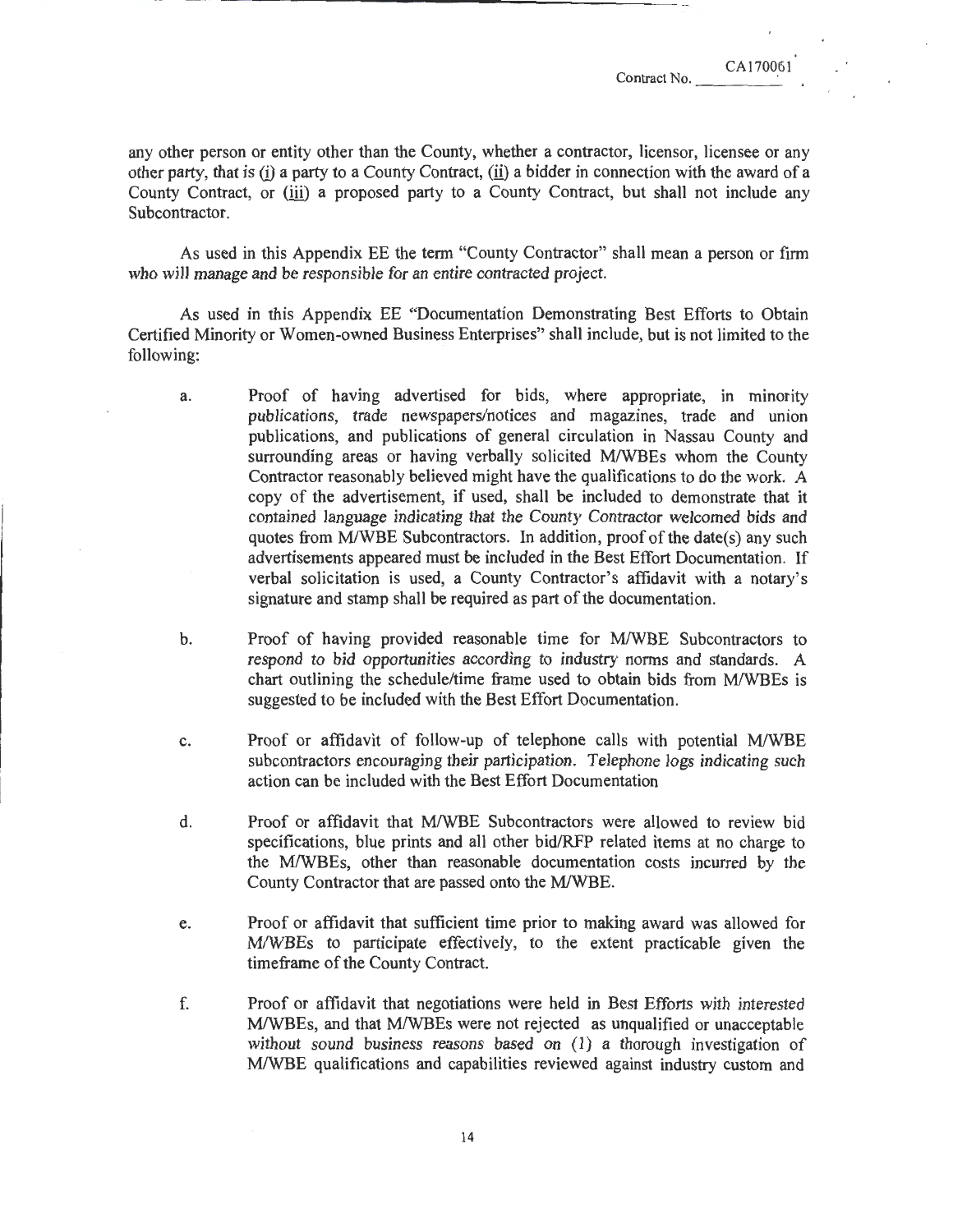any other person or entity other than the County, whether a contractor, licensor, licensee or any other party, that is  $(i)$  a party to a County Contract,  $(ii)$  a bidder in connection with the award of a County Contract, or (iii) a proposed party to a County Contract, but shall not include any Subcontractor.

As used in this Appendix EE the tenn "County Contractor" shall mean a person or finn who will manage and be responsible for an entire contracted project.

As used in this Appendix EE "Documentation Demonstrating Best Efforts to Obtain Certified Minority or Women-owned Business Enterprises" shall include, but is not limited to the following:

- a. Proof of having advertised for bids, where appropriate, in minority publications, trade newspapers/notices and magazines, trade and union publications, and publications of general circulation in Nassau County and surrounding areas or having verbally solicited M/WBEs whom the County Contractor reasonably believed might have the qualifications to do the work. A copy of the advertisement, if used, shall be included to demonstrate that it contained language indicating that the County Contractor welcomed bids and quotes from M/WBE Subcontractors. In addition, proof of the date(s) any such advertisements appeared must be included in the Best Effort Documentation. If verbal solicitation is used, a County Contractor's affidavit with a notary's signature and stamp shall be required as part of the documentation.
- b. Proof of having provided reasonable time for MIWBE Subcontractors to respond to bid opportunities according to industry norms and standards. A chart outlining the schedule/time frame used to obtain bids from M/WBEs is suggested to be included with the Best Effort Documentation.
- c. Proof or affidavit of follow-up of telephone calls with potential M/WBE subcontractors encouraging their participation. Telephone logs indicating such action can be included with the Best Effort Documentation
- d. Proof or affidavit that MIWBE Subcontractors were allowed to review bid specifications, blue prints and all other bid/RFP related items at no charge to the MIWBEs, other than reasonable documentation costs incurred by the County Contractor that are passed onto the MIWBE.
- e. Proof or affidavit that sufficient time prior to making award was allowed for MIWBEs to participate effectively, to the extent practicable given the time frame of the County Contract.
- f. Proof or affidavit that negotiations were held in Best Efforts with interested M/WBEs, and that M/WBEs were not rejected as unqualified or unacceptable without sound business reasons based on (1) a thorough investigation of MIWBE qualifications and capabilities reviewed against industry custom and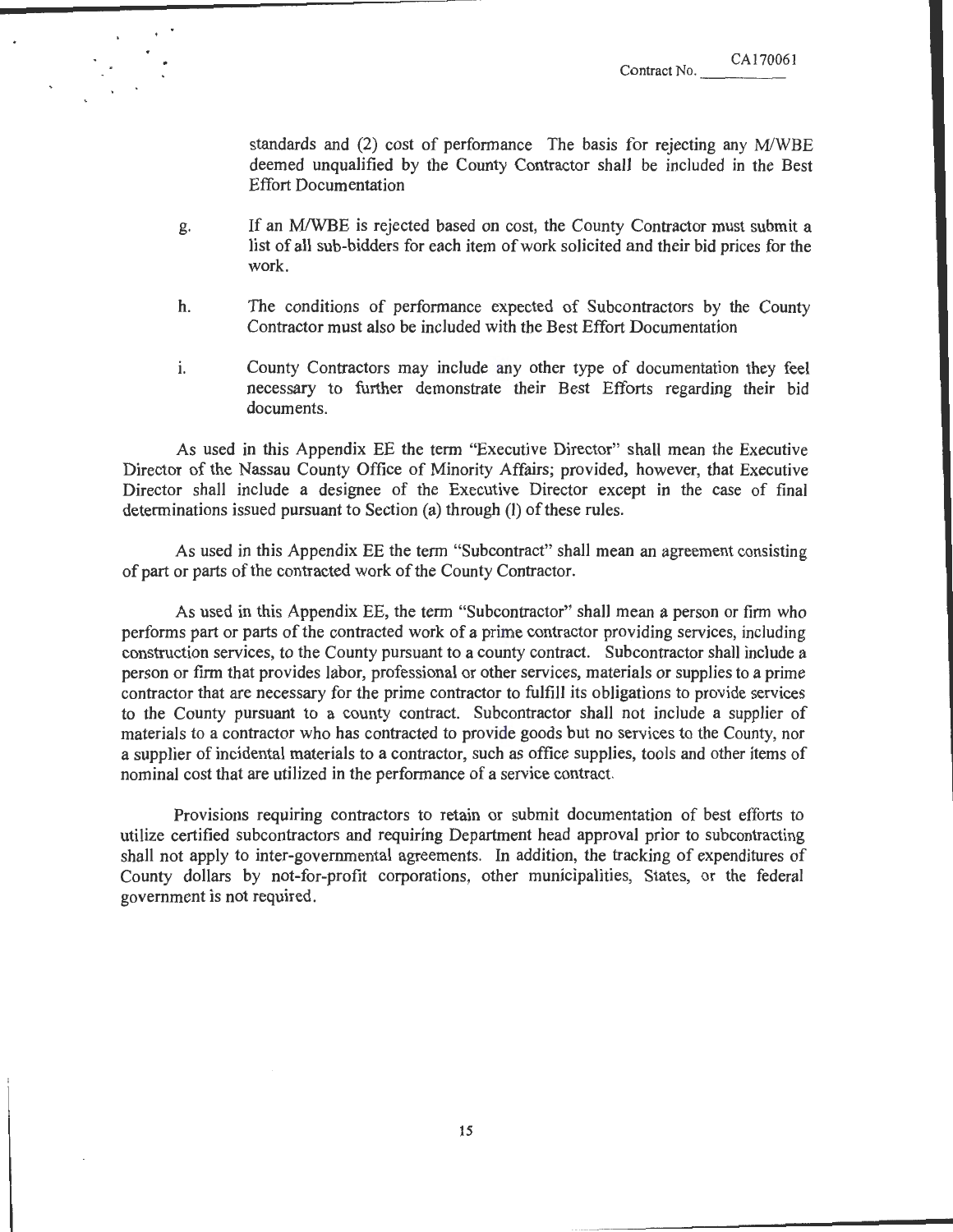standards and (2) cost of performance The basis for rejecting any M/WBE deemed unqualified by the County Contractor shall be included in the Best Effort Documentation

- g. If an MIWBE is rejected based on cost, the County Contractor must submit a list of all sub-bidders for each item of work solicited and their bid prices for the work.
- h. The conditions of performance expected of Subcontractors by the County Contractor must also be included with the Best Effort Documentation
- i. County Contractors may include any other type of documentation they feel necessary to further demonstrate their Best Efforts regarding their bid documents.

As used in this Appendix EE the term "Executive Director" shall mean the Executive Director of the Nassau County Office of Minority Affairs; provided, however, that Executive Director shall include a designee of the Executive Director except in the case of final determinations issued pursuant to Section (a) through (l) of these rules.

As used in this Appendix EE the term "Subcontract" shall mean an agreement consisting of part or parts of the contracted work of the County Contractor.

As used in this Appendix EE, the term "Subcontractor" shall mean a person or firm who performs part or parts of the contracted work of a prime contractor providing services, including construction services, to the County pursuant to a county contract. Subcontractor shall include a person or finn that provides labor, professional or other services, materials or supplies to a prime contractor that are necessary for the prime contractor to fulfill its obligations to provide services to the County pursuant to a county contract. Subcontractor shall not include a supplier of materials to a contractor who has contracted to provide goods but no services to the County, nor a supplier of incidental materials to a contractor, such as office supplies, tools and other items of nominal cost that are utilized in the performance of a service contract.

Provisions requiring contractors to retain or submit documentation of best efforts to utilize certified subcontractors and requiring Department head approval prior to subcontracting shall not apply to inter-governmental agreements. In addition, the tracking of expenditures of County dollars by not-for-profit corporations, other municipalities, States, or the federal government is not required.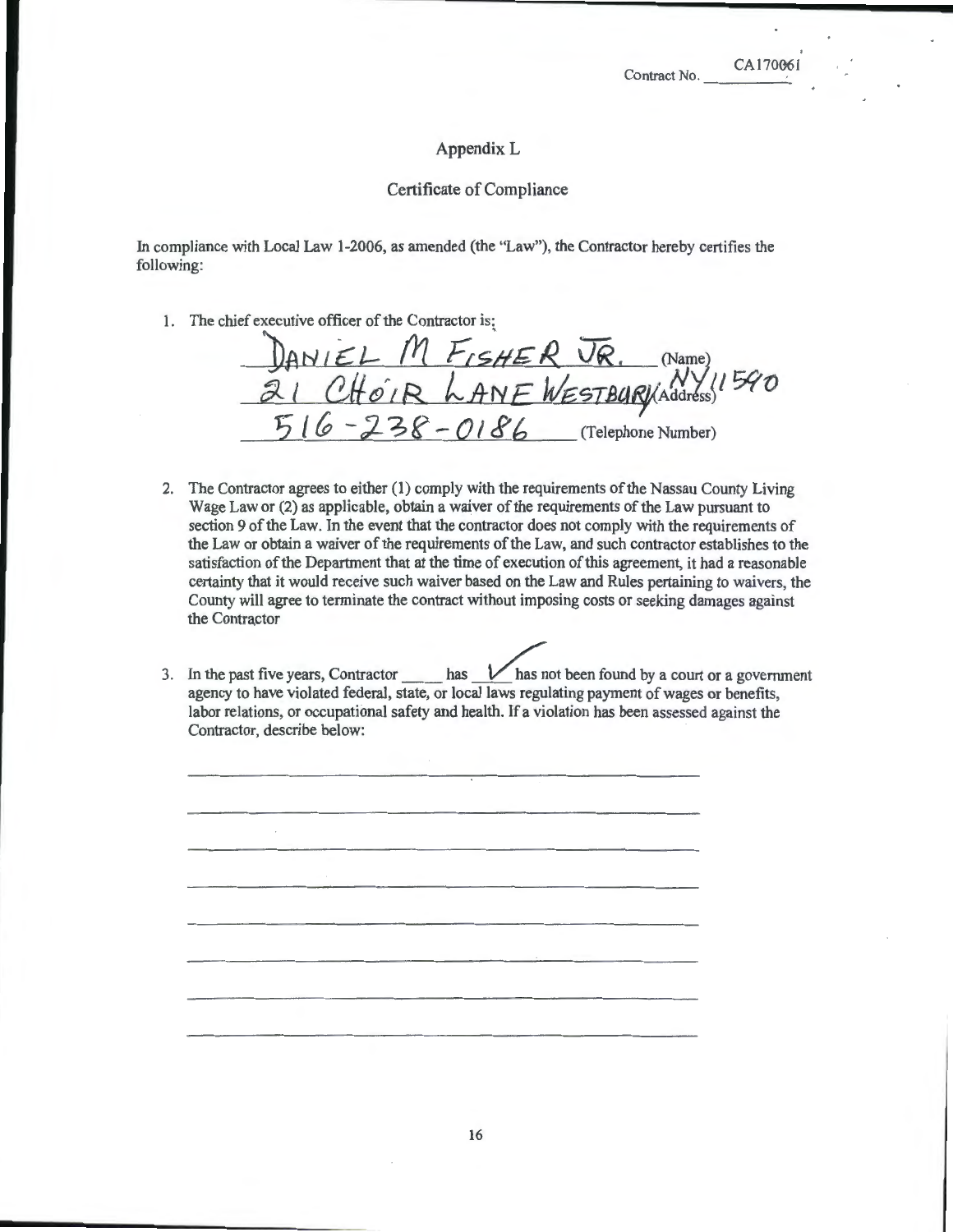CA170061

## AppendixL

## Certificate of Compliance

In compliance with Local Law 1-2006, as amended (the "Law"), the Contractor hereby certifies the following:

1. The chief executive officer of the Contractor is:

DANIEL M FISHER VR. (Name)  $21$  *CHOIR* LANE WESTBURY Address)<sup>1940</sup>  $516 - 238 - 0186$  (Telephone Number)

- 2. The Contractor agrees to either (1) comply with the requirements of the Nassau County Living Wage Law or (2) as applicable, obtain a waiver of the requirements of the Law pursuant to section 9 of the Law. In the event that the contractor does not comply with the requirements of the Law or obtain a waiver of the requirements of the Law, and such contractor establishes to the satisfaction of the Department that at the time of execution of this agreement, it had a reasonable certainty that it would receive such waiver based on the Law and Rules pertaining to waivers, the County will agree to terminate the contract without imposing costs or seeking damages against the Contractor
- 3. In the past five years, Contractor  $\_\_\_\_\_\_\_\$  has  $\_\_\_\_\_\_\_\$  has not been found by a court or a government agency to have violated federal, state, or local laws regulating payment of wages or benefits, labor relations, or occupational safety and health. If a violation has been assessed against the Contractor, describe below: